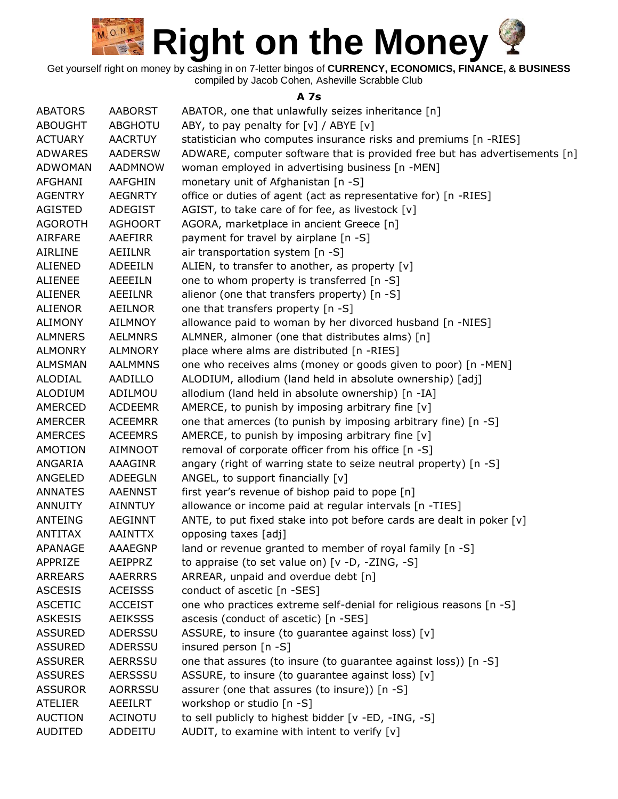Get yourself right on money by cashing in on 7-letter bingos of **CURRENCY, ECONOMICS, FINANCE, & BUSINESS** compiled by Jacob Cohen, Asheville Scrabble Club

#### **A 7s**

| <b>ABATORS</b> | <b>AABORST</b> | ABATOR, one that unlawfully seizes inheritance [n]                         |
|----------------|----------------|----------------------------------------------------------------------------|
| <b>ABOUGHT</b> | <b>ABGHOTU</b> | ABY, to pay penalty for $[v]$ / ABYE $[v]$                                 |
| <b>ACTUARY</b> | <b>AACRTUY</b> | statistician who computes insurance risks and premiums [n -RIES]           |
| <b>ADWARES</b> | <b>AADERSW</b> | ADWARE, computer software that is provided free but has advertisements [n] |
| ADWOMAN        | <b>AADMNOW</b> | woman employed in advertising business [n -MEN]                            |
| <b>AFGHANI</b> | <b>AAFGHIN</b> | monetary unit of Afghanistan [n -S]                                        |
| <b>AGENTRY</b> | <b>AEGNRTY</b> | office or duties of agent (act as representative for) [n -RIES]            |
| AGISTED        | ADEGIST        | AGIST, to take care of for fee, as livestock [v]                           |
| <b>AGOROTH</b> | <b>AGHOORT</b> | AGORA, marketplace in ancient Greece [n]                                   |
| AIRFARE        | AAEFIRR        | payment for travel by airplane [n -S]                                      |
| <b>AIRLINE</b> | AEIILNR        | air transportation system [n -S]                                           |
| <b>ALIENED</b> | <b>ADEEILN</b> | ALIEN, to transfer to another, as property $[v]$                           |
| <b>ALIENEE</b> | AEEEILN        | one to whom property is transferred [n -S]                                 |
| <b>ALIENER</b> | AEEILNR        | alienor (one that transfers property) [n -S]                               |
| <b>ALIENOR</b> | <b>AEILNOR</b> | one that transfers property [n -S]                                         |
| <b>ALIMONY</b> | <b>AILMNOY</b> | allowance paid to woman by her divorced husband [n -NIES]                  |
| <b>ALMNERS</b> | <b>AELMNRS</b> | ALMNER, almoner (one that distributes alms) [n]                            |
| <b>ALMONRY</b> | <b>ALMNORY</b> | place where alms are distributed [n -RIES]                                 |
| <b>ALMSMAN</b> | <b>AALMMNS</b> | one who receives alms (money or goods given to poor) [n -MEN]              |
| ALODIAL        | AADILLO        | ALODIUM, allodium (land held in absolute ownership) [adj]                  |
| <b>ALODIUM</b> | ADILMOU        | allodium (land held in absolute ownership) [n -IA]                         |
| AMERCED        | <b>ACDEEMR</b> | AMERCE, to punish by imposing arbitrary fine $[v]$                         |
| <b>AMERCER</b> | <b>ACEEMRR</b> | one that amerces (to punish by imposing arbitrary fine) [n -S]             |
| <b>AMERCES</b> | <b>ACEEMRS</b> | AMERCE, to punish by imposing arbitrary fine $[v]$                         |
| <b>AMOTION</b> | <b>AIMNOOT</b> | removal of corporate officer from his office [n -S]                        |
| ANGARIA        | <b>AAAGINR</b> | angary (right of warring state to seize neutral property) [n -S]           |
| <b>ANGELED</b> | <b>ADEEGLN</b> | ANGEL, to support financially [v]                                          |
| <b>ANNATES</b> | <b>AAENNST</b> | first year's revenue of bishop paid to pope [n]                            |
| <b>ANNUITY</b> | <b>AINNTUY</b> | allowance or income paid at regular intervals [n -TIES]                    |
| ANTEING        | <b>AEGINNT</b> | ANTE, to put fixed stake into pot before cards are dealt in poker [v]      |
| <b>ANTITAX</b> | <b>AAINTTX</b> | opposing taxes [adj]                                                       |
| <b>APANAGE</b> | <b>AAAEGNP</b> | land or revenue granted to member of royal family [n -S]                   |
| APPRIZE        | AEIPPRZ        | to appraise (to set value on) $[v -D, -ZING, -S]$                          |
| <b>ARREARS</b> | <b>AAERRRS</b> | ARREAR, unpaid and overdue debt [n]                                        |
| <b>ASCESIS</b> | <b>ACEISSS</b> | conduct of ascetic [n -SES]                                                |
| <b>ASCETIC</b> | <b>ACCEIST</b> | one who practices extreme self-denial for religious reasons [n -S]         |
| <b>ASKESIS</b> | <b>AEIKSSS</b> | ascesis (conduct of ascetic) [n -SES]                                      |
| <b>ASSURED</b> | ADERSSU        | ASSURE, to insure (to guarantee against loss) [v]                          |
| <b>ASSURED</b> | ADERSSU        | insured person [n -S]                                                      |
| <b>ASSURER</b> | <b>AERRSSU</b> | one that assures (to insure (to guarantee against loss)) [n -S]            |
| <b>ASSURES</b> | AERSSSU        | ASSURE, to insure (to guarantee against loss) [v]                          |
| <b>ASSUROR</b> | AORRSSU        | assurer (one that assures (to insure)) [n -S]                              |
| <b>ATELIER</b> | AEEILRT        | workshop or studio [n -S]                                                  |
| <b>AUCTION</b> | <b>ACINOTU</b> | to sell publicly to highest bidder [v -ED, -ING, -S]                       |
| <b>AUDITED</b> | ADDEITU        | AUDIT, to examine with intent to verify $[v]$                              |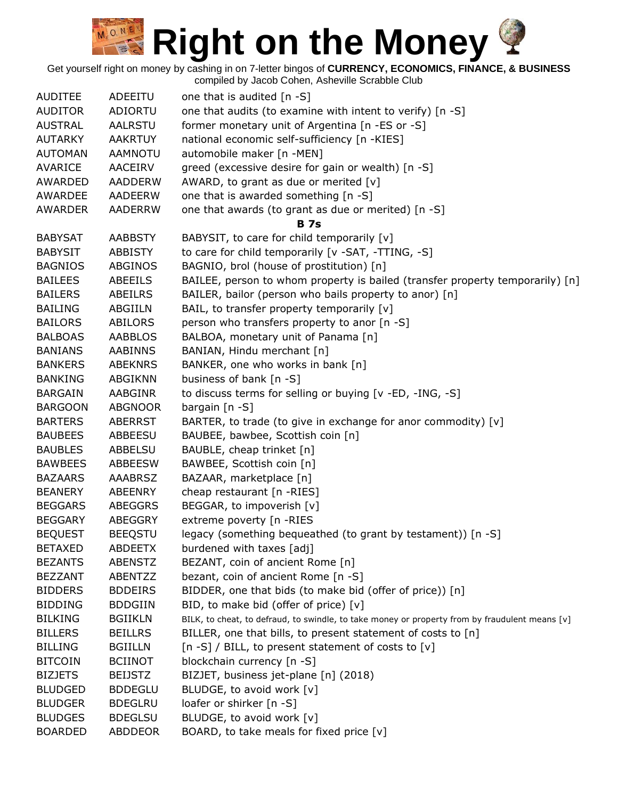Get yourself right on money by cashing in on 7-letter bingos of **CURRENCY, ECONOMICS, FINANCE, & BUSINESS**

| <b>AUDITEE</b> | ADEEITU        | one that is audited $[n - S]$                                                                  |
|----------------|----------------|------------------------------------------------------------------------------------------------|
| <b>AUDITOR</b> | ADIORTU        | one that audits (to examine with intent to verify) [n -S]                                      |
| <b>AUSTRAL</b> | <b>AALRSTU</b> | former monetary unit of Argentina [n -ES or -S]                                                |
| <b>AUTARKY</b> | <b>AAKRTUY</b> | national economic self-sufficiency [n -KIES]                                                   |
| <b>AUTOMAN</b> | <b>AAMNOTU</b> | automobile maker [n -MEN]                                                                      |
| <b>AVARICE</b> | AACEIRV        | greed (excessive desire for gain or wealth) [n -S]                                             |
| AWARDED        | <b>AADDERW</b> | AWARD, to grant as due or merited [v]                                                          |
| AWARDEE        | <b>AADEERW</b> | one that is awarded something [n -S]                                                           |
| <b>AWARDER</b> | <b>AADERRW</b> | one that awards (to grant as due or merited) [n -S]                                            |
|                |                | <b>B</b> 7s                                                                                    |
| <b>BABYSAT</b> | <b>AABBSTY</b> | BABYSIT, to care for child temporarily [v]                                                     |
| <b>BABYSIT</b> | <b>ABBISTY</b> | to care for child temporarily [v -SAT, -TTING, -S]                                             |
| <b>BAGNIOS</b> | <b>ABGINOS</b> | BAGNIO, brol (house of prostitution) [n]                                                       |
| <b>BAILEES</b> | <b>ABEEILS</b> | BAILEE, person to whom property is bailed (transfer property temporarily) [n]                  |
| <b>BAILERS</b> | ABEILRS        | BAILER, bailor (person who bails property to anor) [n]                                         |
| <b>BAILING</b> | ABGIILN        | BAIL, to transfer property temporarily [v]                                                     |
| <b>BAILORS</b> | <b>ABILORS</b> | person who transfers property to anor [n -S]                                                   |
| <b>BALBOAS</b> | <b>AABBLOS</b> | BALBOA, monetary unit of Panama [n]                                                            |
| <b>BANIANS</b> | <b>AABINNS</b> | BANIAN, Hindu merchant [n]                                                                     |
| <b>BANKERS</b> | <b>ABEKNRS</b> | BANKER, one who works in bank [n]                                                              |
| <b>BANKING</b> | ABGIKNN        | business of bank [n -S]                                                                        |
| <b>BARGAIN</b> | AABGINR        | to discuss terms for selling or buying [v -ED, -ING, -S]                                       |
| <b>BARGOON</b> | <b>ABGNOOR</b> | bargain $[n - S]$                                                                              |
| <b>BARTERS</b> | <b>ABERRST</b> | BARTER, to trade (to give in exchange for anor commodity) [v]                                  |
| <b>BAUBEES</b> | <b>ABBEESU</b> | BAUBEE, bawbee, Scottish coin [n]                                                              |
| <b>BAUBLES</b> | ABBELSU        | BAUBLE, cheap trinket [n]                                                                      |
| <b>BAWBEES</b> | ABBEESW        | BAWBEE, Scottish coin [n]                                                                      |
| <b>BAZAARS</b> | <b>AAABRSZ</b> | BAZAAR, marketplace [n]                                                                        |
| <b>BEANERY</b> | <b>ABEENRY</b> | cheap restaurant [n -RIES]                                                                     |
| <b>BEGGARS</b> | <b>ABEGGRS</b> | BEGGAR, to impoverish [v]                                                                      |
| <b>BEGGARY</b> | ABEGGRY        | extreme poverty [n -RIES                                                                       |
| <b>BEQUEST</b> | <b>BEEQSTU</b> | legacy (something bequeathed (to grant by testament)) [n -S]                                   |
| <b>BETAXED</b> | <b>ABDEETX</b> | burdened with taxes [adj]                                                                      |
| <b>BEZANTS</b> | <b>ABENSTZ</b> | BEZANT, coin of ancient Rome [n]                                                               |
| <b>BEZZANT</b> | ABENTZZ        | bezant, coin of ancient Rome [n -S]                                                            |
| <b>BIDDERS</b> | <b>BDDEIRS</b> | BIDDER, one that bids (to make bid (offer of price)) [n]                                       |
| <b>BIDDING</b> | <b>BDDGIIN</b> | BID, to make bid (offer of price) [v]                                                          |
| <b>BILKING</b> | <b>BGIIKLN</b> | BILK, to cheat, to defraud, to swindle, to take money or property from by fraudulent means [v] |
| <b>BILLERS</b> | <b>BEILLRS</b> | BILLER, one that bills, to present statement of costs to [n]                                   |
| <b>BILLING</b> | <b>BGIILLN</b> | [n -S] / BILL, to present statement of costs to [v]                                            |
| <b>BITCOIN</b> | <b>BCIINOT</b> | blockchain currency [n -S]                                                                     |
| <b>BIZJETS</b> | <b>BEIJSTZ</b> | BIZJET, business jet-plane [n] (2018)                                                          |
| <b>BLUDGED</b> | <b>BDDEGLU</b> | BLUDGE, to avoid work [v]                                                                      |
| <b>BLUDGER</b> | <b>BDEGLRU</b> | loafer or shirker [n -S]                                                                       |
| <b>BLUDGES</b> | <b>BDEGLSU</b> | BLUDGE, to avoid work [v]                                                                      |
| <b>BOARDED</b> | ABDDEOR        | BOARD, to take meals for fixed price [v]                                                       |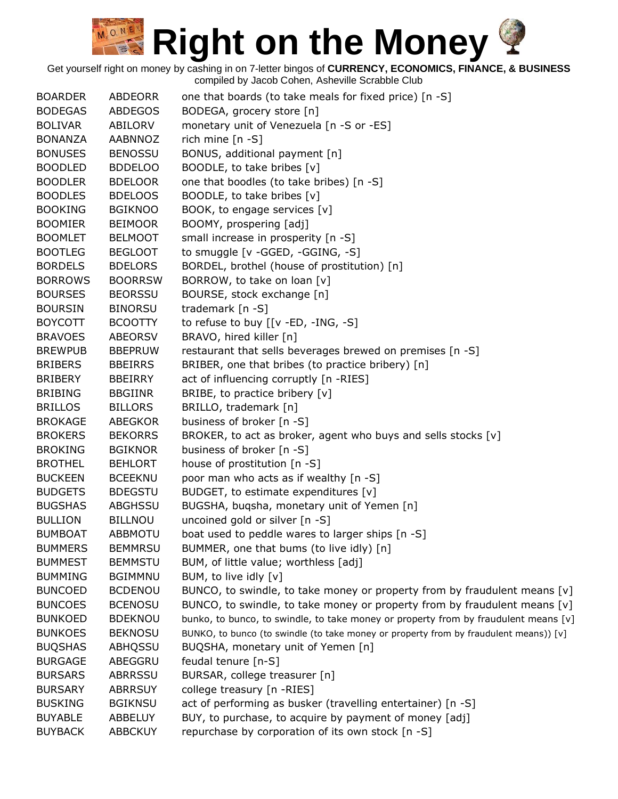| <b>BOARDER</b> | ABDEORR        | one that boards (to take meals for fixed price) [n -S]                                |
|----------------|----------------|---------------------------------------------------------------------------------------|
| <b>BODEGAS</b> | <b>ABDEGOS</b> | BODEGA, grocery store [n]                                                             |
| <b>BOLIVAR</b> | ABILORV        | monetary unit of Venezuela [n -S or -ES]                                              |
| <b>BONANZA</b> | <b>AABNNOZ</b> | rich mine $[n -S]$                                                                    |
| <b>BONUSES</b> | <b>BENOSSU</b> | BONUS, additional payment [n]                                                         |
| <b>BOODLED</b> | <b>BDDELOO</b> | BOODLE, to take bribes [v]                                                            |
| <b>BOODLER</b> | <b>BDELOOR</b> | one that boodles (to take bribes) [n -S]                                              |
| <b>BOODLES</b> | <b>BDELOOS</b> | BOODLE, to take bribes [v]                                                            |
| <b>BOOKING</b> | <b>BGIKNOO</b> | BOOK, to engage services [v]                                                          |
| <b>BOOMIER</b> | <b>BEIMOOR</b> | BOOMY, prospering [adj]                                                               |
| <b>BOOMLET</b> | <b>BELMOOT</b> | small increase in prosperity [n -S]                                                   |
| <b>BOOTLEG</b> | <b>BEGLOOT</b> | to smuggle [v -GGED, -GGING, -S]                                                      |
| <b>BORDELS</b> | <b>BDELORS</b> | BORDEL, brothel (house of prostitution) [n]                                           |
| <b>BORROWS</b> | <b>BOORRSW</b> | BORROW, to take on loan [v]                                                           |
| <b>BOURSES</b> | <b>BEORSSU</b> | BOURSE, stock exchange [n]                                                            |
| <b>BOURSIN</b> | <b>BINORSU</b> | trademark [n -S]                                                                      |
| <b>BOYCOTT</b> | <b>BCOOTTY</b> | to refuse to buy [[v -ED, -ING, -S]                                                   |
| <b>BRAVOES</b> | <b>ABEORSV</b> | BRAVO, hired killer [n]                                                               |
| <b>BREWPUB</b> | <b>BBEPRUW</b> | restaurant that sells beverages brewed on premises [n -S]                             |
| <b>BRIBERS</b> | <b>BBEIRRS</b> | BRIBER, one that bribes (to practice bribery) [n]                                     |
| <b>BRIBERY</b> | <b>BBEIRRY</b> | act of influencing corruptly [n -RIES]                                                |
| <b>BRIBING</b> | <b>BBGIINR</b> | BRIBE, to practice bribery [v]                                                        |
| <b>BRILLOS</b> | <b>BILLORS</b> | BRILLO, trademark [n]                                                                 |
| <b>BROKAGE</b> | <b>ABEGKOR</b> | business of broker [n -S]                                                             |
| <b>BROKERS</b> | <b>BEKORRS</b> | BROKER, to act as broker, agent who buys and sells stocks [v]                         |
| <b>BROKING</b> | <b>BGIKNOR</b> | business of broker [n -S]                                                             |
| <b>BROTHEL</b> | <b>BEHLORT</b> | house of prostitution [n -S]                                                          |
| <b>BUCKEEN</b> | <b>BCEEKNU</b> | poor man who acts as if wealthy [n -S]                                                |
| <b>BUDGETS</b> | <b>BDEGSTU</b> | BUDGET, to estimate expenditures [v]                                                  |
| <b>BUGSHAS</b> | ABGHSSU        | BUGSHA, buqsha, monetary unit of Yemen [n]                                            |
| <b>BULLION</b> | <b>BILLNOU</b> | uncoined gold or silver [n -S]                                                        |
| <b>BUMBOAT</b> | <b>ABBMOTU</b> | boat used to peddle wares to larger ships [n -S]                                      |
| <b>BUMMERS</b> | <b>BEMMRSU</b> | BUMMER, one that bums (to live idly) [n]                                              |
| <b>BUMMEST</b> | <b>BEMMSTU</b> | BUM, of little value; worthless [adj]                                                 |
| <b>BUMMING</b> | <b>BGIMMNU</b> | BUM, to live idly [v]                                                                 |
| <b>BUNCOED</b> | <b>BCDENOU</b> | BUNCO, to swindle, to take money or property from by fraudulent means [v]             |
| <b>BUNCOES</b> | <b>BCENOSU</b> | BUNCO, to swindle, to take money or property from by fraudulent means $[v]$           |
| <b>BUNKOED</b> | <b>BDEKNOU</b> | bunko, to bunco, to swindle, to take money or property from by fraudulent means [v]   |
| <b>BUNKOES</b> | <b>BEKNOSU</b> | BUNKO, to bunco (to swindle (to take money or property from by fraudulent means)) [v] |
| <b>BUQSHAS</b> | ABHQSSU        | BUQSHA, monetary unit of Yemen [n]                                                    |
| <b>BURGAGE</b> | ABEGGRU        | feudal tenure [n-S]                                                                   |
|                |                |                                                                                       |
| <b>BURSARS</b> | <b>ABRRSSU</b> | BURSAR, college treasurer [n]                                                         |
| <b>BURSARY</b> | <b>ABRRSUY</b> | college treasury [n -RIES]                                                            |
| <b>BUSKING</b> | <b>BGIKNSU</b> | act of performing as busker (travelling entertainer) [n -S]                           |
| <b>BUYABLE</b> | ABBELUY        | BUY, to purchase, to acquire by payment of money [adj]                                |
| <b>BUYBACK</b> | <b>ABBCKUY</b> | repurchase by corporation of its own stock [n -S]                                     |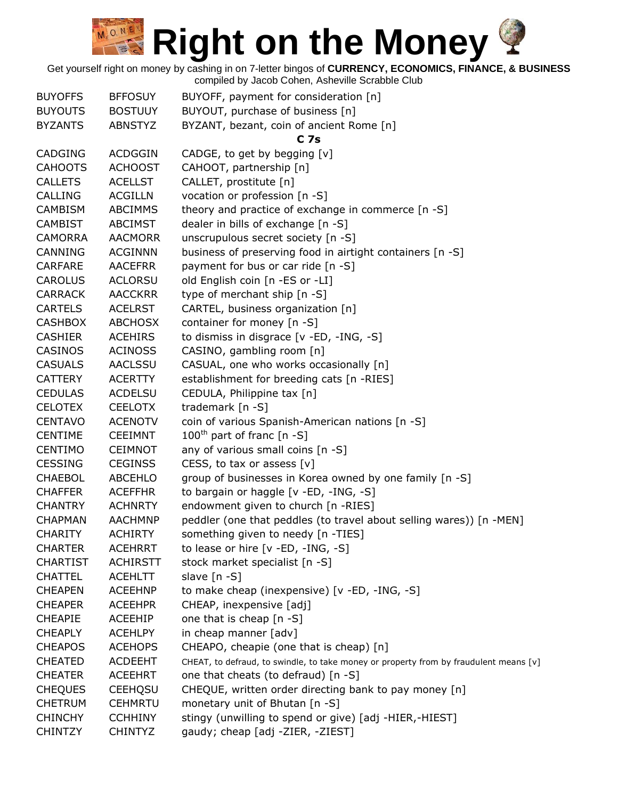| <b>BUYOFFS</b>  | <b>BFFOSUY</b>  | BUYOFF, payment for consideration [n]                                                 |
|-----------------|-----------------|---------------------------------------------------------------------------------------|
| <b>BUYOUTS</b>  | <b>BOSTUUY</b>  | BUYOUT, purchase of business [n]                                                      |
| <b>BYZANTS</b>  | <b>ABNSTYZ</b>  | BYZANT, bezant, coin of ancient Rome [n]                                              |
|                 |                 | C <sub>7s</sub>                                                                       |
| <b>CADGING</b>  | <b>ACDGGIN</b>  | CADGE, to get by begging [v]                                                          |
| <b>CAHOOTS</b>  | <b>ACHOOST</b>  | CAHOOT, partnership [n]                                                               |
| <b>CALLETS</b>  | <b>ACELLST</b>  | CALLET, prostitute [n]                                                                |
| <b>CALLING</b>  | <b>ACGILLN</b>  | vocation or profession [n -S]                                                         |
| <b>CAMBISM</b>  | <b>ABCIMMS</b>  | theory and practice of exchange in commerce [n -S]                                    |
| <b>CAMBIST</b>  | <b>ABCIMST</b>  | dealer in bills of exchange [n -S]                                                    |
| <b>CAMORRA</b>  | <b>AACMORR</b>  | unscrupulous secret society [n -S]                                                    |
| CANNING         | <b>ACGINNN</b>  | business of preserving food in airtight containers [n -S]                             |
| <b>CARFARE</b>  | <b>AACEFRR</b>  | payment for bus or car ride [n -S]                                                    |
| <b>CAROLUS</b>  | <b>ACLORSU</b>  | old English coin [n -ES or -LI]                                                       |
| <b>CARRACK</b>  | <b>AACCKRR</b>  | type of merchant ship [n -S]                                                          |
|                 | <b>ACELRST</b>  | CARTEL, business organization [n]                                                     |
| <b>CARTELS</b>  |                 |                                                                                       |
| <b>CASHBOX</b>  | <b>ABCHOSX</b>  | container for money [n -S]                                                            |
| <b>CASHIER</b>  | <b>ACEHIRS</b>  | to dismiss in disgrace [v -ED, -ING, -S]                                              |
| CASINOS         | <b>ACINOSS</b>  | CASINO, gambling room [n]                                                             |
| <b>CASUALS</b>  | <b>AACLSSU</b>  | CASUAL, one who works occasionally [n]                                                |
| <b>CATTERY</b>  | <b>ACERTTY</b>  | establishment for breeding cats [n -RIES]                                             |
| <b>CEDULAS</b>  | <b>ACDELSU</b>  | CEDULA, Philippine tax [n]                                                            |
| <b>CELOTEX</b>  | <b>CEELOTX</b>  | trademark [n -S]                                                                      |
| <b>CENTAVO</b>  | <b>ACENOTV</b>  | coin of various Spanish-American nations [n -S]                                       |
| <b>CENTIME</b>  | <b>CEEIMNT</b>  | $100^{\text{th}}$ part of franc [n -S]                                                |
| <b>CENTIMO</b>  | <b>CEIMNOT</b>  | any of various small coins [n -S]                                                     |
| <b>CESSING</b>  | <b>CEGINSS</b>  | CESS, to tax or assess $[v]$                                                          |
| <b>CHAEBOL</b>  | <b>ABCEHLO</b>  | group of businesses in Korea owned by one family [n -S]                               |
| <b>CHAFFER</b>  | <b>ACEFFHR</b>  | to bargain or haggle [v -ED, -ING, -S]                                                |
| <b>CHANTRY</b>  | <b>ACHNRTY</b>  | endowment given to church [n -RIES]                                                   |
| <b>CHAPMAN</b>  | <b>AACHMNP</b>  | peddler (one that peddles (to travel about selling wares)) [n -MEN]                   |
| <b>CHARITY</b>  | <b>ACHIRTY</b>  | something given to needy [n -TIES]                                                    |
| <b>CHARTER</b>  | <b>ACEHRRT</b>  | to lease or hire [v -ED, -ING, -S]                                                    |
| <b>CHARTIST</b> | <b>ACHIRSTT</b> | stock market specialist [n -S]                                                        |
| <b>CHATTEL</b>  | <b>ACEHLTT</b>  | slave $[n - S]$                                                                       |
| <b>CHEAPEN</b>  | <b>ACEEHNP</b>  | to make cheap (inexpensive) [v -ED, -ING, -S]                                         |
| <b>CHEAPER</b>  | <b>ACEEHPR</b>  | CHEAP, inexpensive [adj]                                                              |
| <b>CHEAPIE</b>  | <b>ACEEHIP</b>  | one that is cheap [n -S]                                                              |
| <b>CHEAPLY</b>  | <b>ACEHLPY</b>  | in cheap manner [adv]                                                                 |
| <b>CHEAPOS</b>  | <b>ACEHOPS</b>  | CHEAPO, cheapie (one that is cheap) [n]                                               |
| <b>CHEATED</b>  | <b>ACDEEHT</b>  | CHEAT, to defraud, to swindle, to take money or property from by fraudulent means [v] |
| <b>CHEATER</b>  | <b>ACEEHRT</b>  | one that cheats (to defraud) [n -S]                                                   |
| <b>CHEQUES</b>  | <b>CEEHQSU</b>  | CHEQUE, written order directing bank to pay money [n]                                 |
| <b>CHETRUM</b>  | <b>CEHMRTU</b>  | monetary unit of Bhutan [n -S]                                                        |
| <b>CHINCHY</b>  | <b>CCHHINY</b>  | stingy (unwilling to spend or give) [adj -HIER,-HIEST]                                |
| <b>CHINTZY</b>  | <b>CHINTYZ</b>  | gaudy; cheap [adj -ZIER, -ZIEST]                                                      |
|                 |                 |                                                                                       |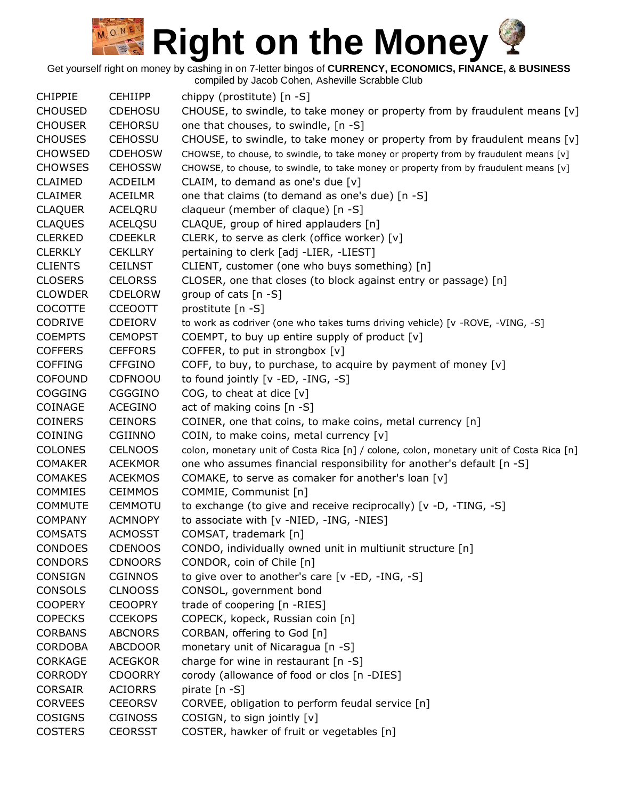Get yourself right on money by cashing in on 7-letter bingos of **CURRENCY, ECONOMICS, FINANCE, & BUSINESS**

compiled by Jacob Cohen, Asheville Scrabble Club CHIPPIE CEHIIPP chippy (prostitute) [n -S] CHOUSED CDEHOSU CHOUSE, to swindle, to take money or property from by fraudulent means [v] CHOUSER CEHORSU one that chouses, to swindle, [n -S] CHOUSES CEHOSSU CHOUSE, to swindle, to take money or property from by fraudulent means [v]  $CHOWSED$  CDEHOSW CHOWSE, to chouse, to swindle, to take money or property from by fraudulent means [v] CHOWSES CEHOSSW CHOWSE, to chouse, to swindle, to take money or property from by fraudulent means [v] CLAIMED ACDEILM CLAIM, to demand as one's due [v] CLAIMER ACEILMR one that claims (to demand as one's due) [n -S] CLAQUER ACELQRU claqueur (member of claque) [n -S] CLAQUES ACELQSU CLAQUE, group of hired applauders [n] CLERKED CDEEKLR CLERK, to serve as clerk (office worker) [v] CLERKLY CEKLLRY pertaining to clerk [adj -LIER, -LIEST] CLIENTS CEILNST CLIENT, customer (one who buys something) [n] CLOSERS CELORSS CLOSER, one that closes (to block against entry or passage) [n] CLOWDER CDELORW group of cats [n -S] COCOTTE CCEOOTT prostitute [n -S] CODRIVE CDEIORV to work as codriver (one who takes turns driving vehicle) [v -ROVE, -VING, -S] COEMPTS CEMOPST COEMPT, to buy up entire supply of product [v] COFFERS CEFFORS COFFER, to put in strongbox [v] COFFING CFFGINO COFF, to buy, to purchase, to acquire by payment of money [v] COFOUND CDFNOOU to found jointly [v -ED, -ING, -S] COGGING CGGGINO COG, to cheat at dice [v] COINAGE ACEGINO act of making coins [n -S] COINERS CEINORS COINER, one that coins, to make coins, metal currency [n] COINING CGIINNO COIN, to make coins, metal currency [v] COLONES CELNOOS colon, monetary unit of Costa Rica [n] / colone, colon, monetary unit of Costa Rica [n] COMAKER ACEKMOR one who assumes financial responsibility for another's default [n -S] COMAKES ACEKMOS COMAKE, to serve as comaker for another's loan [v] COMMIES CEIMMOS COMMIE, Communist [n] COMMUTE CEMMOTU to exchange (to give and receive reciprocally) [v -D, -TING, -S] COMPANY ACMNOPY to associate with [v -NIED, -ING, -NIES] COMSATS ACMOSST COMSAT, trademark [n] CONDOES CDENOOS CONDO, individually owned unit in multiunit structure [n] CONDORS CDNOORS CONDOR, coin of Chile [n] CONSIGN CGINNOS to give over to another's care [v -ED, -ING, -S] CONSOLS CLNOOSS CONSOL, government bond COOPERY CEOOPRY trade of coopering [n -RIES] COPECKS CCEKOPS COPECK, kopeck, Russian coin [n] CORBANS ABCNORS CORBAN, offering to God [n] CORDOBA ABCDOOR monetary unit of Nicaragua [n -S] CORKAGE ACEGKOR charge for wine in restaurant [n -S] CORRODY CDOORRY corody (allowance of food or clos [n -DIES] CORSAIR ACIORRS pirate [n -S] CORVEES CEEORSV CORVEE, obligation to perform feudal service [n] COSIGNS CGINOSS COSIGN, to sign jointly [v] COSTERS CEORSST COSTER, hawker of fruit or vegetables [n]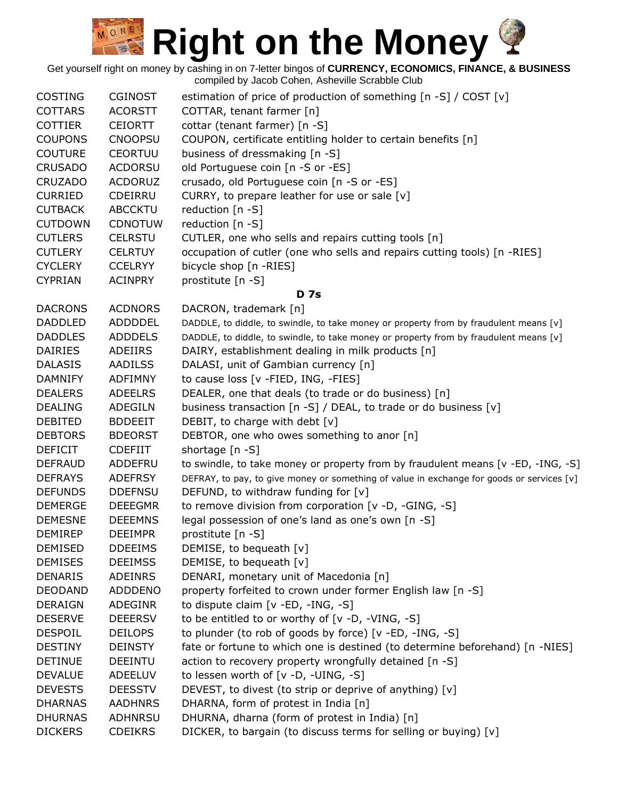|                |                | sasse sonon, rionovino sonabbio o                                                         |
|----------------|----------------|-------------------------------------------------------------------------------------------|
| <b>COSTING</b> | <b>CGINOST</b> | estimation of price of production of something [n -S] / COST [v]                          |
| <b>COTTARS</b> | <b>ACORSTT</b> | COTTAR, tenant farmer [n]                                                                 |
| <b>COTTIER</b> | <b>CEIORTT</b> | cottar (tenant farmer) [n -S]                                                             |
| <b>COUPONS</b> | <b>CNOOPSU</b> | COUPON, certificate entitling holder to certain benefits [n]                              |
| <b>COUTURE</b> | <b>CEORTUU</b> | business of dressmaking [n -S]                                                            |
| <b>CRUSADO</b> | <b>ACDORSU</b> | old Portuguese coin [n -S or -ES]                                                         |
| <b>CRUZADO</b> | <b>ACDORUZ</b> | crusado, old Portuguese coin [n -S or -ES]                                                |
| <b>CURRIED</b> | <b>CDEIRRU</b> | CURRY, to prepare leather for use or sale [v]                                             |
| <b>CUTBACK</b> | <b>ABCCKTU</b> | reduction [n -S]                                                                          |
| <b>CUTDOWN</b> | <b>CDNOTUW</b> | reduction [n -S]                                                                          |
| <b>CUTLERS</b> | <b>CELRSTU</b> | CUTLER, one who sells and repairs cutting tools [n]                                       |
| <b>CUTLERY</b> | <b>CELRTUY</b> | occupation of cutler (one who sells and repairs cutting tools) [n -RIES]                  |
| <b>CYCLERY</b> | <b>CCELRYY</b> | bicycle shop [n -RIES]                                                                    |
| <b>CYPRIAN</b> | <b>ACINPRY</b> | prostitute [n -S]                                                                         |
|                |                | <b>D</b> 7s                                                                               |
| <b>DACRONS</b> | <b>ACDNORS</b> | DACRON, trademark [n]                                                                     |
| <b>DADDLED</b> | ADDDDEL        | DADDLE, to diddle, to swindle, to take money or property from by fraudulent means [v]     |
| <b>DADDLES</b> | ADDDELS        | DADDLE, to diddle, to swindle, to take money or property from by fraudulent means [v]     |
| <b>DAIRIES</b> | ADEIIRS        | DAIRY, establishment dealing in milk products [n]                                         |
| <b>DALASIS</b> | AADILSS        | DALASI, unit of Gambian currency [n]                                                      |
| <b>DAMNIFY</b> | <b>ADFIMNY</b> | to cause loss [v -FIED, ING, -FIES]                                                       |
| <b>DEALERS</b> | <b>ADEELRS</b> | DEALER, one that deals (to trade or do business) [n]                                      |
| <b>DEALING</b> | ADEGILN        | business transaction [n -S] / DEAL, to trade or do business [v]                           |
| <b>DEBITED</b> | <b>BDDEEIT</b> | DEBIT, to charge with debt [v]                                                            |
| <b>DEBTORS</b> | <b>BDEORST</b> | DEBTOR, one who owes something to anor [n]                                                |
| <b>DEFICIT</b> | <b>CDEFIIT</b> | shortage $[n -S]$                                                                         |
| <b>DEFRAUD</b> | ADDEFRU        | to swindle, to take money or property from by fraudulent means [v -ED, -ING, -S]          |
| <b>DEFRAYS</b> | <b>ADEFRSY</b> | DEFRAY, to pay, to give money or something of value in exchange for goods or services [v] |
| <b>DEFUNDS</b> | <b>DDEFNSU</b> | DEFUND, to withdraw funding for [v]                                                       |
| <b>DEMERGE</b> | <b>DEEEGMR</b> | to remove division from corporation [v -D, -GING, -S]                                     |
| <b>DEMESNE</b> | <b>DEEEMNS</b> | legal possession of one's land as one's own [n -S]                                        |
| <b>DEMIREP</b> | <b>DEEIMPR</b> | prostitute [n -S]                                                                         |
| <b>DEMISED</b> | <b>DDEEIMS</b> | DEMISE, to bequeath [v]                                                                   |
| <b>DEMISES</b> | <b>DEEIMSS</b> | DEMISE, to bequeath [v]                                                                   |
| <b>DENARIS</b> | <b>ADEINRS</b> | DENARI, monetary unit of Macedonia [n]                                                    |
| <b>DEODAND</b> | <b>ADDDENO</b> | property forfeited to crown under former English law [n -S]                               |
| <b>DERAIGN</b> | <b>ADEGINR</b> | to dispute claim [v -ED, -ING, -S]                                                        |
| <b>DESERVE</b> | <b>DEEERSV</b> | to be entitled to or worthy of [v -D, -VING, -S]                                          |
| <b>DESPOIL</b> | <b>DEILOPS</b> | to plunder (to rob of goods by force) [v -ED, -ING, -S]                                   |
| <b>DESTINY</b> | <b>DEINSTY</b> | fate or fortune to which one is destined (to determine beforehand) [n -NIES]              |
| <b>DETINUE</b> | <b>DEEINTU</b> | action to recovery property wrongfully detained [n -S]                                    |
| <b>DEVALUE</b> | ADEELUV        | to lessen worth of [v -D, -UING, -S]                                                      |
| <b>DEVESTS</b> | <b>DEESSTV</b> | DEVEST, to divest (to strip or deprive of anything) [v]                                   |
| <b>DHARNAS</b> | <b>AADHNRS</b> | DHARNA, form of protest in India [n]                                                      |
| <b>DHURNAS</b> | ADHNRSU        | DHURNA, dharna (form of protest in India) [n]                                             |
| <b>DICKERS</b> | <b>CDEIKRS</b> | DICKER, to bargain (to discuss terms for selling or buying) [v]                           |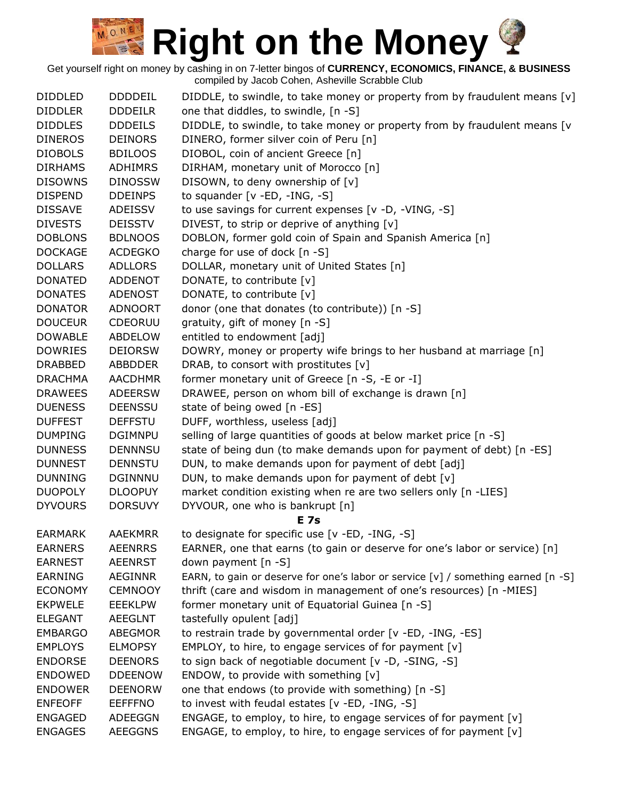| <b>DIDDLED</b> | <b>DDDDEIL</b> | DIDDLE, to swindle, to take money or property from by fraudulent means [v]        |
|----------------|----------------|-----------------------------------------------------------------------------------|
| <b>DIDDLER</b> | <b>DDDEILR</b> | one that diddles, to swindle, [n -S]                                              |
| <b>DIDDLES</b> | <b>DDDEILS</b> | DIDDLE, to swindle, to take money or property from by fraudulent means [v         |
| <b>DINEROS</b> | <b>DEINORS</b> | DINERO, former silver coin of Peru [n]                                            |
| <b>DIOBOLS</b> | <b>BDILOOS</b> | DIOBOL, coin of ancient Greece [n]                                                |
| <b>DIRHAMS</b> | <b>ADHIMRS</b> | DIRHAM, monetary unit of Morocco [n]                                              |
| <b>DISOWNS</b> | <b>DINOSSW</b> | DISOWN, to deny ownership of [v]                                                  |
| <b>DISPEND</b> | <b>DDEINPS</b> | to squander $[v - ED, -ING, -S]$                                                  |
| <b>DISSAVE</b> | ADEISSV        | to use savings for current expenses [v -D, -VING, -S]                             |
| <b>DIVESTS</b> | <b>DEISSTV</b> | DIVEST, to strip or deprive of anything [v]                                       |
| <b>DOBLONS</b> | <b>BDLNOOS</b> | DOBLON, former gold coin of Spain and Spanish America [n]                         |
| <b>DOCKAGE</b> | <b>ACDEGKO</b> | charge for use of dock [n -S]                                                     |
| <b>DOLLARS</b> | <b>ADLLORS</b> | DOLLAR, monetary unit of United States [n]                                        |
| <b>DONATED</b> | <b>ADDENOT</b> | DONATE, to contribute [v]                                                         |
| <b>DONATES</b> | <b>ADENOST</b> | DONATE, to contribute [v]                                                         |
| <b>DONATOR</b> | <b>ADNOORT</b> | donor (one that donates (to contribute)) [n -S]                                   |
| <b>DOUCEUR</b> | CDEORUU        | gratuity, gift of money [n -S]                                                    |
| <b>DOWABLE</b> | <b>ABDELOW</b> | entitled to endowment [adj]                                                       |
| <b>DOWRIES</b> | <b>DEIORSW</b> | DOWRY, money or property wife brings to her husband at marriage [n]               |
| <b>DRABBED</b> | <b>ABBDDER</b> | DRAB, to consort with prostitutes [v]                                             |
| <b>DRACHMA</b> | <b>AACDHMR</b> | former monetary unit of Greece [n -S, -E or -I]                                   |
| <b>DRAWEES</b> | <b>ADEERSW</b> | DRAWEE, person on whom bill of exchange is drawn [n]                              |
| <b>DUENESS</b> | <b>DEENSSU</b> | state of being owed [n -ES]                                                       |
| <b>DUFFEST</b> | <b>DEFFSTU</b> | DUFF, worthless, useless [adj]                                                    |
| <b>DUMPING</b> | <b>DGIMNPU</b> | selling of large quantities of goods at below market price [n -S]                 |
| <b>DUNNESS</b> | <b>DENNNSU</b> | state of being dun (to make demands upon for payment of debt) [n -ES]             |
| <b>DUNNEST</b> | <b>DENNSTU</b> | DUN, to make demands upon for payment of debt [adj]                               |
| <b>DUNNING</b> | <b>DGINNNU</b> | DUN, to make demands upon for payment of debt [v]                                 |
| <b>DUOPOLY</b> | <b>DLOOPUY</b> | market condition existing when re are two sellers only [n -LIES]                  |
| <b>DYVOURS</b> | <b>DORSUVY</b> | DYVOUR, one who is bankrupt [n]                                                   |
|                |                | <b>E</b> 7s                                                                       |
| <b>EARMARK</b> | <b>AAEKMRR</b> | to designate for specific use [v -ED, -ING, -S]                                   |
| <b>EARNERS</b> | <b>AEENRRS</b> | EARNER, one that earns (to gain or deserve for one's labor or service) [n]        |
| <b>EARNEST</b> | <b>AEENRST</b> | down payment [n -S]                                                               |
| <b>EARNING</b> | <b>AEGINNR</b> | EARN, to gain or deserve for one's labor or service [v] / something earned [n -S] |
| <b>ECONOMY</b> | <b>CEMNOOY</b> | thrift (care and wisdom in management of one's resources) [n -MIES]               |
| <b>EKPWELE</b> | <b>EEEKLPW</b> | former monetary unit of Equatorial Guinea [n -S]                                  |
| <b>ELEGANT</b> | <b>AEEGLNT</b> | tastefully opulent [adj]                                                          |
| <b>EMBARGO</b> | <b>ABEGMOR</b> | to restrain trade by governmental order [v -ED, -ING, -ES]                        |
| <b>EMPLOYS</b> | <b>ELMOPSY</b> | EMPLOY, to hire, to engage services of for payment [v]                            |
| <b>ENDORSE</b> | <b>DEENORS</b> | to sign back of negotiable document [v -D, -SING, -S]                             |
| <b>ENDOWED</b> | <b>DDEENOW</b> | ENDOW, to provide with something [v]                                              |
| <b>ENDOWER</b> | <b>DEENORW</b> | one that endows (to provide with something) [n -S]                                |
| <b>ENFEOFF</b> | <b>EEFFFNO</b> | to invest with feudal estates [v -ED, -ING, -S]                                   |
| <b>ENGAGED</b> | ADEEGGN        | ENGAGE, to employ, to hire, to engage services of for payment [v]                 |
| <b>ENGAGES</b> | <b>AEEGGNS</b> | ENGAGE, to employ, to hire, to engage services of for payment [v]                 |
|                |                |                                                                                   |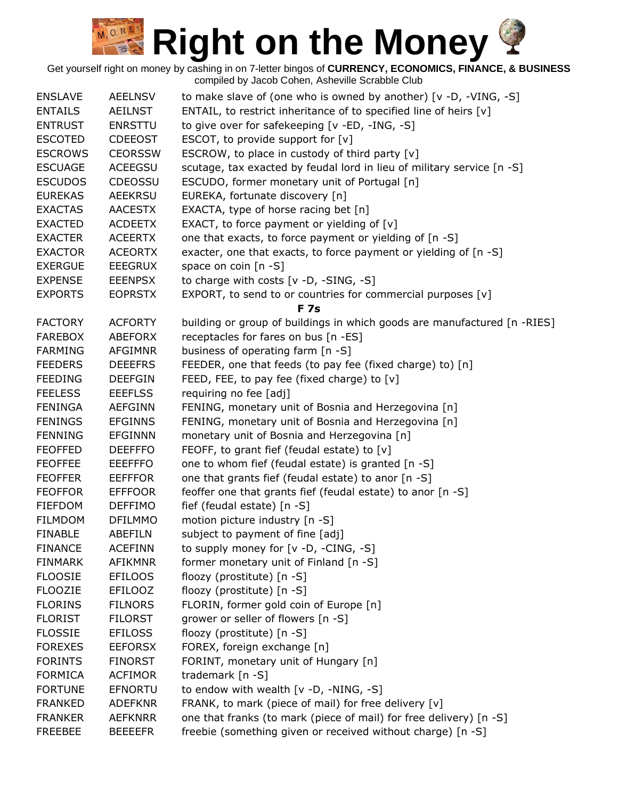| <b>ENSLAVE</b> | <b>AEELNSV</b> | to make slave of (one who is owned by another) [v -D, -VING, -S]         |
|----------------|----------------|--------------------------------------------------------------------------|
| <b>ENTAILS</b> | <b>AEILNST</b> | ENTAIL, to restrict inheritance of to specified line of heirs [v]        |
| <b>ENTRUST</b> | <b>ENRSTTU</b> | to give over for safekeeping [v -ED, -ING, -S]                           |
| <b>ESCOTED</b> | <b>CDEEOST</b> | ESCOT, to provide support for $[v]$                                      |
| <b>ESCROWS</b> | <b>CEORSSW</b> | ESCROW, to place in custody of third party [v]                           |
| <b>ESCUAGE</b> | <b>ACEEGSU</b> | scutage, tax exacted by feudal lord in lieu of military service [n -S]   |
| <b>ESCUDOS</b> | CDEOSSU        | ESCUDO, former monetary unit of Portugal [n]                             |
| <b>EUREKAS</b> | <b>AEEKRSU</b> | EUREKA, fortunate discovery [n]                                          |
| <b>EXACTAS</b> | <b>AACESTX</b> | EXACTA, type of horse racing bet [n]                                     |
| <b>EXACTED</b> | <b>ACDEETX</b> | EXACT, to force payment or yielding of $[v]$                             |
| <b>EXACTER</b> | <b>ACEERTX</b> | one that exacts, to force payment or yielding of [n -S]                  |
| <b>EXACTOR</b> | <b>ACEORTX</b> | exacter, one that exacts, to force payment or yielding of [n -S]         |
| <b>EXERGUE</b> | <b>EEEGRUX</b> | space on coin $[n - S]$                                                  |
| <b>EXPENSE</b> | <b>EEENPSX</b> | to charge with costs [v -D, -SING, -S]                                   |
| <b>EXPORTS</b> | <b>EOPRSTX</b> | EXPORT, to send to or countries for commercial purposes [v]              |
|                |                | <b>F7s</b>                                                               |
| <b>FACTORY</b> | <b>ACFORTY</b> | building or group of buildings in which goods are manufactured [n -RIES] |
| <b>FAREBOX</b> | <b>ABEFORX</b> | receptacles for fares on bus [n -ES]                                     |
| <b>FARMING</b> | <b>AFGIMNR</b> | business of operating farm [n -S]                                        |
| <b>FEEDERS</b> | <b>DEEEFRS</b> | FEEDER, one that feeds (to pay fee (fixed charge) to) [n]                |
| <b>FEEDING</b> | <b>DEEFGIN</b> | FEED, FEE, to pay fee (fixed charge) to $[v]$                            |
| <b>FEELESS</b> | <b>EEEFLSS</b> | requiring no fee [adj]                                                   |
| <b>FENINGA</b> | <b>AEFGINN</b> | FENING, monetary unit of Bosnia and Herzegovina [n]                      |
| <b>FENINGS</b> | <b>EFGINNS</b> | FENING, monetary unit of Bosnia and Herzegovina [n]                      |
| <b>FENNING</b> | <b>EFGINNN</b> | monetary unit of Bosnia and Herzegovina [n]                              |
| <b>FEOFFED</b> | <b>DEEFFFO</b> | FEOFF, to grant fief (feudal estate) to [v]                              |
| <b>FEOFFEE</b> | <b>EEEFFFO</b> | one to whom fief (feudal estate) is granted [n -S]                       |
| <b>FEOFFER</b> | <b>EEFFFOR</b> | one that grants fief (feudal estate) to anor [n -S]                      |
| <b>FEOFFOR</b> | <b>EFFFOOR</b> | feoffer one that grants fief (feudal estate) to anor [n -S]              |
| <b>FIEFDOM</b> | <b>DEFFIMO</b> | fief (feudal estate) [n -S]                                              |
| <b>FILMDOM</b> | <b>DFILMMO</b> | motion picture industry [n -S]                                           |
| <b>FINABLE</b> | <b>ABEFILN</b> | subject to payment of fine [adj]                                         |
| <b>FINANCE</b> | <b>ACEFINN</b> | to supply money for [v -D, -CING, -S]                                    |
| <b>FINMARK</b> | <b>AFIKMNR</b> | former monetary unit of Finland [n -S]                                   |
| <b>FLOOSIE</b> | <b>EFILOOS</b> | floozy (prostitute) [n -S]                                               |
| <b>FLOOZIE</b> | <b>EFILOOZ</b> | floozy (prostitute) [n -S]                                               |
| <b>FLORINS</b> | <b>FILNORS</b> | FLORIN, former gold coin of Europe [n]                                   |
| <b>FLORIST</b> | <b>FILORST</b> | grower or seller of flowers [n -S]                                       |
| <b>FLOSSIE</b> | <b>EFILOSS</b> | floozy (prostitute) [n -S]                                               |
| <b>FOREXES</b> | <b>EEFORSX</b> | FOREX, foreign exchange [n]                                              |
| <b>FORINTS</b> | <b>FINORST</b> | FORINT, monetary unit of Hungary [n]                                     |
| <b>FORMICA</b> | <b>ACFIMOR</b> | trademark [n -S]                                                         |
| <b>FORTUNE</b> | <b>EFNORTU</b> | to endow with wealth [v -D, -NING, -S]                                   |
| <b>FRANKED</b> | <b>ADEFKNR</b> | FRANK, to mark (piece of mail) for free delivery [v]                     |
| <b>FRANKER</b> | <b>AEFKNRR</b> | one that franks (to mark (piece of mail) for free delivery) [n -S]       |
| <b>FREEBEE</b> | <b>BEEEEFR</b> | freebie (something given or received without charge) [n -S]              |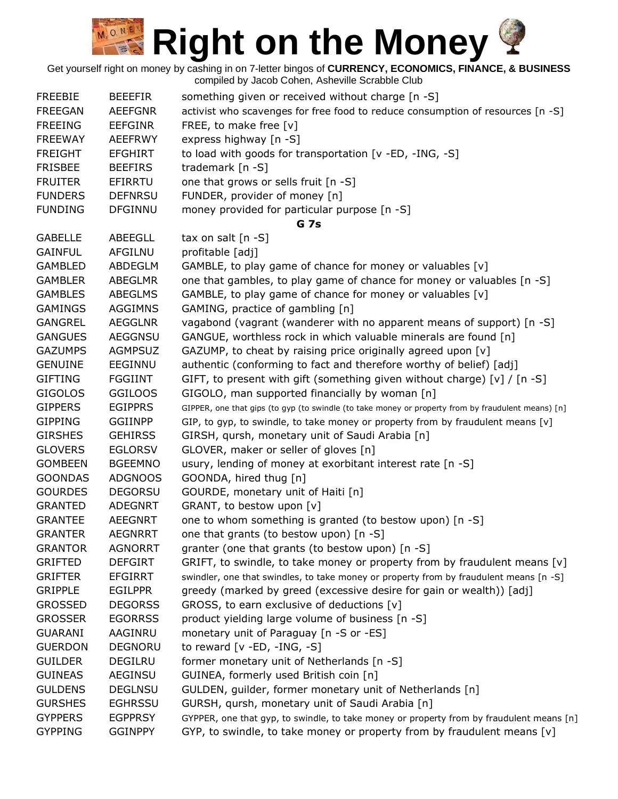| <b>FREEBIE</b> | <b>BEEEFIR</b> | something given or received without charge [n -S]                                                  |
|----------------|----------------|----------------------------------------------------------------------------------------------------|
| <b>FREEGAN</b> | <b>AEEFGNR</b> | activist who scavenges for free food to reduce consumption of resources [n -S]                     |
| <b>FREEING</b> | <b>EEFGINR</b> | FREE, to make free [v]                                                                             |
| <b>FREEWAY</b> | <b>AEEFRWY</b> | express highway [n -S]                                                                             |
| <b>FREIGHT</b> | <b>EFGHIRT</b> | to load with goods for transportation [v -ED, -ING, -S]                                            |
| <b>FRISBEE</b> | <b>BEEFIRS</b> | trademark $[n -S]$                                                                                 |
| <b>FRUITER</b> | EFIRRTU        | one that grows or sells fruit [n -S]                                                               |
| <b>FUNDERS</b> | <b>DEFNRSU</b> | FUNDER, provider of money [n]                                                                      |
| <b>FUNDING</b> | <b>DFGINNU</b> | money provided for particular purpose [n -S]                                                       |
|                |                | <b>G</b> 7s                                                                                        |
| <b>GABELLE</b> | ABEEGLL        | tax on salt $[n -S]$                                                                               |
| <b>GAINFUL</b> | AFGILNU        | profitable [adj]                                                                                   |
| <b>GAMBLED</b> | ABDEGLM        | GAMBLE, to play game of chance for money or valuables [v]                                          |
| <b>GAMBLER</b> | <b>ABEGLMR</b> | one that gambles, to play game of chance for money or valuables [n -S]                             |
| <b>GAMBLES</b> | <b>ABEGLMS</b> | GAMBLE, to play game of chance for money or valuables [v]                                          |
| <b>GAMINGS</b> | <b>AGGIMNS</b> | GAMING, practice of gambling [n]                                                                   |
| <b>GANGREL</b> | <b>AEGGLNR</b> | vagabond (vagrant (wanderer with no apparent means of support) [n -S]                              |
| <b>GANGUES</b> | <b>AEGGNSU</b> | GANGUE, worthless rock in which valuable minerals are found [n]                                    |
| <b>GAZUMPS</b> | <b>AGMPSUZ</b> | GAZUMP, to cheat by raising price originally agreed upon [v]                                       |
| <b>GENUINE</b> | EEGINNU        | authentic (conforming to fact and therefore worthy of belief) [adj]                                |
| <b>GIFTING</b> | <b>FGGIINT</b> | GIFT, to present with gift (something given without charge) [v] / [n -S]                           |
| <b>GIGOLOS</b> | <b>GGILOOS</b> | GIGOLO, man supported financially by woman [n]                                                     |
| <b>GIPPERS</b> | <b>EGIPPRS</b> |                                                                                                    |
| <b>GIPPING</b> | <b>GGIINPP</b> | GIPPER, one that gips (to gyp (to swindle (to take money or property from by fraudulent means) [n] |
|                |                | GIP, to gyp, to swindle, to take money or property from by fraudulent means [v]                    |
| <b>GIRSHES</b> | <b>GEHIRSS</b> | GIRSH, qursh, monetary unit of Saudi Arabia [n]                                                    |
| <b>GLOVERS</b> | <b>EGLORSV</b> | GLOVER, maker or seller of gloves [n]                                                              |
| <b>GOMBEEN</b> | <b>BGEEMNO</b> | usury, lending of money at exorbitant interest rate [n -S]                                         |
| <b>GOONDAS</b> | <b>ADGNOOS</b> | GOONDA, hired thug [n]                                                                             |
| <b>GOURDES</b> | <b>DEGORSU</b> | GOURDE, monetary unit of Haiti [n]                                                                 |
| <b>GRANTED</b> | <b>ADEGNRT</b> | GRANT, to bestow upon [v]                                                                          |
| <b>GRANTEE</b> | <b>AEEGNRT</b> | one to whom something is granted (to bestow upon) [n -S]                                           |
| <b>GRANTER</b> | <b>AEGNRRT</b> | one that grants (to bestow upon) [n -S]                                                            |
| <b>GRANTOR</b> | <b>AGNORRT</b> | granter (one that grants (to bestow upon) [n -S]                                                   |
| <b>GRIFTED</b> | <b>DEFGIRT</b> | GRIFT, to swindle, to take money or property from by fraudulent means [v]                          |
| <b>GRIFTER</b> | <b>EFGIRRT</b> | swindler, one that swindles, to take money or property from by fraudulent means [n -S]             |
| <b>GRIPPLE</b> | <b>EGILPPR</b> | greedy (marked by greed (excessive desire for gain or wealth)) [adj]                               |
| <b>GROSSED</b> | <b>DEGORSS</b> | GROSS, to earn exclusive of deductions [v]                                                         |
| <b>GROSSER</b> | <b>EGORRSS</b> | product yielding large volume of business [n -S]                                                   |
| <b>GUARANI</b> | AAGINRU        | monetary unit of Paraguay [n -S or -ES]                                                            |
| <b>GUERDON</b> | DEGNORU        | to reward $[v - ED, -ING, -S]$                                                                     |
| <b>GUILDER</b> | DEGILRU        | former monetary unit of Netherlands [n -S]                                                         |
| <b>GUINEAS</b> | <b>AEGINSU</b> | GUINEA, formerly used British coin [n]                                                             |
| <b>GULDENS</b> | <b>DEGLNSU</b> | GULDEN, guilder, former monetary unit of Netherlands [n]                                           |
| <b>GURSHES</b> | <b>EGHRSSU</b> | GURSH, qursh, monetary unit of Saudi Arabia [n]                                                    |
| <b>GYPPERS</b> | <b>EGPPRSY</b> | GYPPER, one that gyp, to swindle, to take money or property from by fraudulent means [n]           |
| <b>GYPPING</b> | <b>GGINPPY</b> | GYP, to swindle, to take money or property from by fraudulent means [v]                            |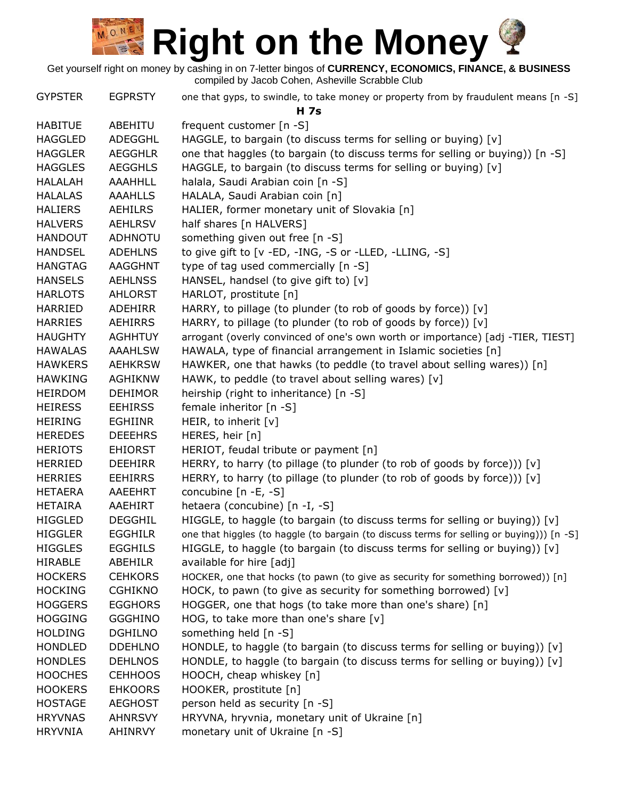| <b>GYPSTER</b> | <b>EGPRSTY</b> | one that gyps, to swindle, to take money or property from by fraudulent means [n -S]<br><b>H</b> 7s |
|----------------|----------------|-----------------------------------------------------------------------------------------------------|
| <b>HABITUE</b> | ABEHITU        | frequent customer [n -S]                                                                            |
| <b>HAGGLED</b> | ADEGGHL        | HAGGLE, to bargain (to discuss terms for selling or buying) [v]                                     |
| <b>HAGGLER</b> | <b>AEGGHLR</b> | one that haggles (to bargain (to discuss terms for selling or buying)) [n -S]                       |
| <b>HAGGLES</b> | <b>AEGGHLS</b> | HAGGLE, to bargain (to discuss terms for selling or buying) [v]                                     |
| <b>HALALAH</b> | <b>AAAHHLL</b> | halala, Saudi Arabian coin [n -S]                                                                   |
| <b>HALALAS</b> | <b>AAAHLLS</b> | HALALA, Saudi Arabian coin [n]                                                                      |
| <b>HALIERS</b> | AEHILRS        | HALIER, former monetary unit of Slovakia [n]                                                        |
| <b>HALVERS</b> | <b>AEHLRSV</b> | half shares [n HALVERS]                                                                             |
| <b>HANDOUT</b> | <b>ADHNOTU</b> | something given out free [n -S]                                                                     |
| <b>HANDSEL</b> | <b>ADEHLNS</b> | to give gift to [v -ED, -ING, -S or -LLED, -LLING, -S]                                              |
| <b>HANGTAG</b> | <b>AAGGHNT</b> | type of tag used commercially [n -S]                                                                |
| <b>HANSELS</b> | <b>AEHLNSS</b> | HANSEL, handsel (to give gift to) [v]                                                               |
| <b>HARLOTS</b> | <b>AHLORST</b> | HARLOT, prostitute [n]                                                                              |
| <b>HARRIED</b> | <b>ADEHIRR</b> | HARRY, to pillage (to plunder (to rob of goods by force)) [v]                                       |
| <b>HARRIES</b> | <b>AEHIRRS</b> | HARRY, to pillage (to plunder (to rob of goods by force)) [v]                                       |
| <b>HAUGHTY</b> | <b>AGHHTUY</b> | arrogant (overly convinced of one's own worth or importance) [adj -TIER, TIEST]                     |
| <b>HAWALAS</b> | <b>AAAHLSW</b> | HAWALA, type of financial arrangement in Islamic societies [n]                                      |
| <b>HAWKERS</b> | <b>AEHKRSW</b> | HAWKER, one that hawks (to peddle (to travel about selling wares)) [n]                              |
| <b>HAWKING</b> | <b>AGHIKNW</b> | HAWK, to peddle (to travel about selling wares) [v]                                                 |
| <b>HEIRDOM</b> | <b>DEHIMOR</b> | heirship (right to inheritance) [n -S]                                                              |
| <b>HEIRESS</b> | <b>EEHIRSS</b> | female inheritor [n -S]                                                                             |
| <b>HEIRING</b> | EGHIINR        | HEIR, to inherit [v]                                                                                |
| <b>HEREDES</b> | <b>DEEEHRS</b> | HERES, heir [n]                                                                                     |
| <b>HERIOTS</b> | <b>EHIORST</b> | HERIOT, feudal tribute or payment [n]                                                               |
| <b>HERRIED</b> | <b>DEEHIRR</b> | HERRY, to harry (to pillage (to plunder (to rob of goods by force))) [v]                            |
| <b>HERRIES</b> | <b>EEHIRRS</b> | HERRY, to harry (to pillage (to plunder (to rob of goods by force))) [v]                            |
| <b>HETAERA</b> | AAEEHRT        | concubine [n -E, -S]                                                                                |
| <b>HETAIRA</b> | AAEHIRT        | hetaera (concubine) [n -I, -S]                                                                      |
| <b>HIGGLED</b> | <b>DEGGHIL</b> | HIGGLE, to haggle (to bargain (to discuss terms for selling or buying)) $[v]$                       |
| <b>HIGGLER</b> | <b>EGGHILR</b> | one that higgles (to haggle (to bargain (to discuss terms for selling or buying))) [n -S]           |
| <b>HIGGLES</b> | <b>EGGHILS</b> | HIGGLE, to haggle (to bargain (to discuss terms for selling or buying)) $[v]$                       |
| <b>HIRABLE</b> | ABEHILR        | available for hire [adj]                                                                            |
| <b>HOCKERS</b> | <b>CEHKORS</b> | HOCKER, one that hocks (to pawn (to give as security for something borrowed)) [n]                   |
| <b>HOCKING</b> | <b>CGHIKNO</b> | HOCK, to pawn (to give as security for something borrowed) [v]                                      |
| <b>HOGGERS</b> | <b>EGGHORS</b> | HOGGER, one that hogs (to take more than one's share) [n]                                           |
| <b>HOGGING</b> | <b>GGGHINO</b> | HOG, to take more than one's share $[v]$                                                            |
| <b>HOLDING</b> | <b>DGHILNO</b> | something held [n -S]                                                                               |
| <b>HONDLED</b> | <b>DDEHLNO</b> | HONDLE, to haggle (to bargain (to discuss terms for selling or buying)) $[v]$                       |
| <b>HONDLES</b> | <b>DEHLNOS</b> | HONDLE, to haggle (to bargain (to discuss terms for selling or buying)) [v]                         |
| <b>HOOCHES</b> | <b>CEHHOOS</b> | HOOCH, cheap whiskey [n]                                                                            |
| <b>HOOKERS</b> | <b>EHKOORS</b> | HOOKER, prostitute [n]                                                                              |
| <b>HOSTAGE</b> | <b>AEGHOST</b> | person held as security [n -S]                                                                      |
| <b>HRYVNAS</b> | <b>AHNRSVY</b> | HRYVNA, hryvnia, monetary unit of Ukraine [n]                                                       |
| <b>HRYVNIA</b> | AHINRVY        | monetary unit of Ukraine [n -S]                                                                     |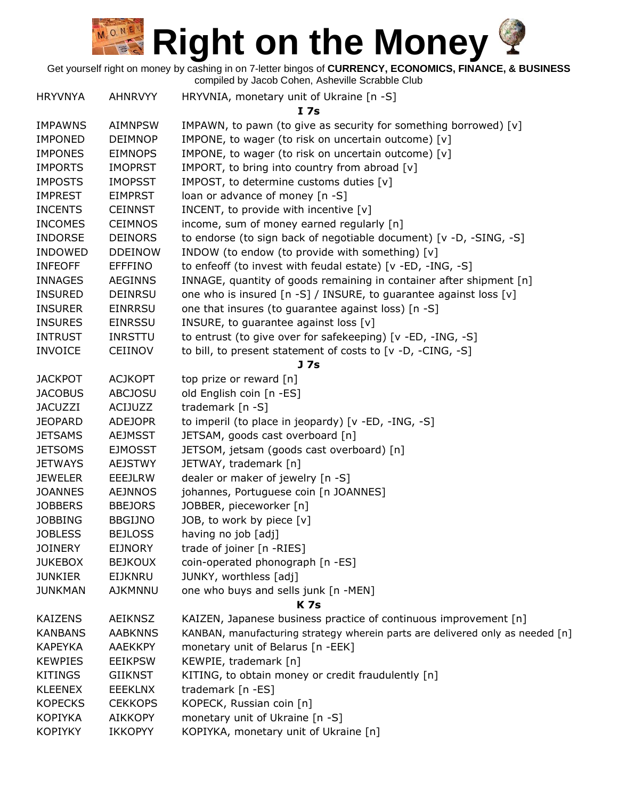Get yourself right on money by cashing in on 7-letter bingos of **CURRENCY, ECONOMICS, FINANCE, & BUSINESS**

| <b>HRYVNYA</b> | <b>AHNRVYY</b> | HRYVNIA, monetary unit of Ukraine [n -S]                                      |
|----------------|----------------|-------------------------------------------------------------------------------|
|                |                | I 7s                                                                          |
| <b>IMPAWNS</b> | <b>AIMNPSW</b> | IMPAWN, to pawn (to give as security for something borrowed) [v]              |
| <b>IMPONED</b> | <b>DEIMNOP</b> | IMPONE, to wager (to risk on uncertain outcome) [v]                           |
| <b>IMPONES</b> | <b>EIMNOPS</b> | IMPONE, to wager (to risk on uncertain outcome) [v]                           |
| <b>IMPORTS</b> | <b>IMOPRST</b> | IMPORT, to bring into country from abroad [v]                                 |
| <b>IMPOSTS</b> | <b>IMOPSST</b> | IMPOST, to determine customs duties [v]                                       |
| <b>IMPREST</b> | <b>EIMPRST</b> | loan or advance of money [n -S]                                               |
| <b>INCENTS</b> | <b>CEINNST</b> | INCENT, to provide with incentive [v]                                         |
| <b>INCOMES</b> | <b>CEIMNOS</b> | income, sum of money earned regularly [n]                                     |
| <b>INDORSE</b> | <b>DEINORS</b> | to endorse (to sign back of negotiable document) [v -D, -SING, -S]            |
| <b>INDOWED</b> | <b>DDEINOW</b> | INDOW (to endow (to provide with something) [v]                               |
| <b>INFEOFF</b> | <b>EFFFINO</b> | to enfeoff (to invest with feudal estate) [v -ED, -ING, -S]                   |
| <b>INNAGES</b> | <b>AEGINNS</b> | INNAGE, quantity of goods remaining in container after shipment [n]           |
| <b>INSURED</b> | <b>DEINRSU</b> | one who is insured [n -S] / INSURE, to guarantee against loss [v]             |
| <b>INSURER</b> | <b>EINRRSU</b> | one that insures (to guarantee against loss) [n -S]                           |
| <b>INSURES</b> | <b>EINRSSU</b> | INSURE, to guarantee against loss [v]                                         |
| <b>INTRUST</b> | <b>INRSTTU</b> | to entrust (to give over for safekeeping) [v -ED, -ING, -S]                   |
| <b>INVOICE</b> | <b>CEIINOV</b> | to bill, to present statement of costs to [v -D, -CING, -S]                   |
|                |                | J 7s                                                                          |
| <b>JACKPOT</b> | <b>ACJKOPT</b> | top prize or reward [n]                                                       |
| <b>JACOBUS</b> | <b>ABCJOSU</b> | old English coin [n -ES]                                                      |
| <b>JACUZZI</b> | ACIJUZZ        | trademark $[n -S]$                                                            |
| <b>JEOPARD</b> | <b>ADEJOPR</b> | to imperil (to place in jeopardy) [v -ED, -ING, -S]                           |
| <b>JETSAMS</b> | <b>AEJMSST</b> | JETSAM, goods cast overboard [n]                                              |
| <b>JETSOMS</b> | <b>EJMOSST</b> | JETSOM, jetsam (goods cast overboard) [n]                                     |
| <b>JETWAYS</b> | <b>AEJSTWY</b> | JETWAY, trademark [n]                                                         |
| <b>JEWELER</b> | <b>EEEJLRW</b> | dealer or maker of jewelry [n -S]                                             |
| <b>JOANNES</b> | <b>AEJNNOS</b> | johannes, Portuguese coin [n JOANNES]                                         |
| <b>JOBBERS</b> | <b>BBEJORS</b> | JOBBER, pieceworker [n]                                                       |
| <b>JOBBING</b> | <b>BBGIJNO</b> | JOB, to work by piece [v]                                                     |
| <b>JOBLESS</b> | <b>BEJLOSS</b> | having no job [adj]                                                           |
| <b>JOINERY</b> | <b>EIJNORY</b> | trade of joiner [n -RIES]                                                     |
| <b>JUKEBOX</b> | <b>BEJKOUX</b> | coin-operated phonograph [n -ES]                                              |
| <b>JUNKIER</b> | <b>EIJKNRU</b> | JUNKY, worthless [adj]                                                        |
| <b>JUNKMAN</b> | <b>AJKMNNU</b> | one who buys and sells junk [n -MEN]                                          |
|                |                | <b>K7s</b>                                                                    |
| <b>KAIZENS</b> | <b>AEIKNSZ</b> | KAIZEN, Japanese business practice of continuous improvement [n]              |
| <b>KANBANS</b> | <b>AABKNNS</b> | KANBAN, manufacturing strategy wherein parts are delivered only as needed [n] |
| <b>KAPEYKA</b> | <b>AAEKKPY</b> | monetary unit of Belarus [n -EEK]                                             |
| <b>KEWPIES</b> | <b>EEIKPSW</b> | KEWPIE, trademark [n]                                                         |
| <b>KITINGS</b> | <b>GIIKNST</b> | KITING, to obtain money or credit fraudulently [n]                            |
| <b>KLEENEX</b> | <b>EEEKLNX</b> | trademark [n -ES]                                                             |
| <b>KOPECKS</b> | <b>CEKKOPS</b> | KOPECK, Russian coin [n]                                                      |
| <b>KOPIYKA</b> | <b>AIKKOPY</b> | monetary unit of Ukraine [n -S]                                               |
| <b>KOPIYKY</b> | <b>IKKOPYY</b> | KOPIYKA, monetary unit of Ukraine [n]                                         |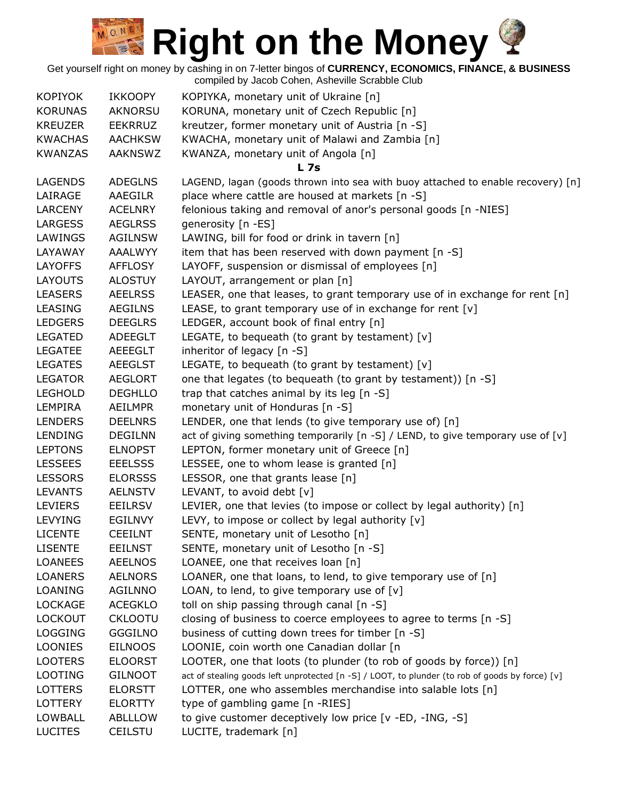| <b>KOPIYOK</b> | <b>IKKOOPY</b> | KOPIYKA, monetary unit of Ukraine [n]                                                           |
|----------------|----------------|-------------------------------------------------------------------------------------------------|
| <b>KORUNAS</b> | AKNORSU        | KORUNA, monetary unit of Czech Republic [n]                                                     |
| <b>KREUZER</b> | <b>EEKRRUZ</b> | kreutzer, former monetary unit of Austria [n -S]                                                |
| <b>KWACHAS</b> | <b>AACHKSW</b> | KWACHA, monetary unit of Malawi and Zambia [n]                                                  |
| <b>KWANZAS</b> | <b>AAKNSWZ</b> | KWANZA, monetary unit of Angola [n]                                                             |
|                |                | <b>L</b> 7s                                                                                     |
| <b>LAGENDS</b> | <b>ADEGLNS</b> | LAGEND, lagan (goods thrown into sea with buoy attached to enable recovery) [n]                 |
| LAIRAGE        | <b>AAEGILR</b> | place where cattle are housed at markets [n -S]                                                 |
| <b>LARCENY</b> | <b>ACELNRY</b> | felonious taking and removal of anor's personal goods [n -NIES]                                 |
| <b>LARGESS</b> | <b>AEGLRSS</b> | generosity [n -ES]                                                                              |
| LAWINGS        | <b>AGILNSW</b> | LAWING, bill for food or drink in tavern [n]                                                    |
| LAYAWAY        | <b>AAALWYY</b> | item that has been reserved with down payment [n -S]                                            |
| <b>LAYOFFS</b> | <b>AFFLOSY</b> | LAYOFF, suspension or dismissal of employees [n]                                                |
| <b>LAYOUTS</b> | <b>ALOSTUY</b> | LAYOUT, arrangement or plan [n]                                                                 |
| <b>LEASERS</b> | <b>AEELRSS</b> | LEASER, one that leases, to grant temporary use of in exchange for rent [n]                     |
| <b>LEASING</b> | <b>AEGILNS</b> | LEASE, to grant temporary use of in exchange for rent [v]                                       |
| <b>LEDGERS</b> | <b>DEEGLRS</b> | LEDGER, account book of final entry [n]                                                         |
| <b>LEGATED</b> | ADEEGLT        | LEGATE, to bequeath (to grant by testament) $[v]$                                               |
| <b>LEGATEE</b> | <b>AEEEGLT</b> | inheritor of legacy [n -S]                                                                      |
| <b>LEGATES</b> | <b>AEEGLST</b> | LEGATE, to bequeath (to grant by testament) $[v]$                                               |
| <b>LEGATOR</b> | <b>AEGLORT</b> | one that legates (to bequeath (to grant by testament)) [n -S]                                   |
| <b>LEGHOLD</b> | <b>DEGHLLO</b> | trap that catches animal by its leg [n -S]                                                      |
| LEMPIRA        | AEILMPR        | monetary unit of Honduras [n -S]                                                                |
| <b>LENDERS</b> | <b>DEELNRS</b> | LENDER, one that lends (to give temporary use of) [n]                                           |
| LENDING        | <b>DEGILNN</b> | act of giving something temporarily [n -S] / LEND, to give temporary use of [v]                 |
| <b>LEPTONS</b> | <b>ELNOPST</b> | LEPTON, former monetary unit of Greece [n]                                                      |
| <b>LESSEES</b> | <b>EEELSSS</b> | LESSEE, one to whom lease is granted [n]                                                        |
| <b>LESSORS</b> | <b>ELORSSS</b> | LESSOR, one that grants lease [n]                                                               |
| <b>LEVANTS</b> | <b>AELNSTV</b> | LEVANT, to avoid debt [v]                                                                       |
| <b>LEVIERS</b> | EEILRSV        | LEVIER, one that levies (to impose or collect by legal authority) [n]                           |
| LEVYING        | <b>EGILNVY</b> | LEVY, to impose or collect by legal authority [v]                                               |
| <b>LICENTE</b> | <b>CEEILNT</b> | SENTE, monetary unit of Lesotho [n]                                                             |
| <b>LISENTE</b> | <b>EEILNST</b> | SENTE, monetary unit of Lesotho [n -S]                                                          |
| <b>LOANEES</b> | AEELNOS        | LOANEE, one that receives loan [n]                                                              |
| <b>LOANERS</b> | <b>AELNORS</b> | LOANER, one that loans, to lend, to give temporary use of [n]                                   |
| LOANING        | AGILNNO        | LOAN, to lend, to give temporary use of $[v]$                                                   |
| <b>LOCKAGE</b> | <b>ACEGKLO</b> | toll on ship passing through canal [n -S]                                                       |
| <b>LOCKOUT</b> | <b>CKLOOTU</b> | closing of business to coerce employees to agree to terms [n -S]                                |
| <b>LOGGING</b> | <b>GGGILNO</b> | business of cutting down trees for timber [n -S]                                                |
| <b>LOONIES</b> | <b>EILNOOS</b> | LOONIE, coin worth one Canadian dollar [n                                                       |
| <b>LOOTERS</b> | <b>ELOORST</b> | LOOTER, one that loots (to plunder (to rob of goods by force)) [n]                              |
| <b>LOOTING</b> | <b>GILNOOT</b> | act of stealing goods left unprotected [n -S] / LOOT, to plunder (to rob of goods by force) [v] |
| <b>LOTTERS</b> | <b>ELORSTT</b> | LOTTER, one who assembles merchandise into salable lots [n]                                     |
| LOTTERY        | <b>ELORTTY</b> | type of gambling game [n -RIES]                                                                 |
| <b>LOWBALL</b> | ABLLLOW        | to give customer deceptively low price [v -ED, -ING, -S]                                        |
| <b>LUCITES</b> | <b>CEILSTU</b> | LUCITE, trademark [n]                                                                           |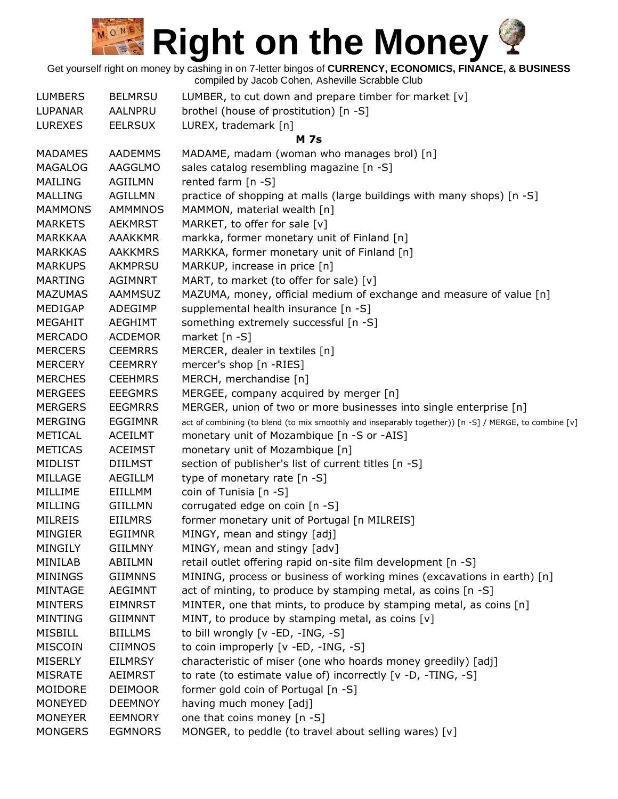| <b>LUMBERS</b> | <b>BELMRSU</b> | LUMBER, to cut down and prepare timber for market [v]                                                 |
|----------------|----------------|-------------------------------------------------------------------------------------------------------|
| LUPANAR        | AALNPRU        | brothel (house of prostitution) [n -S]                                                                |
| <b>LUREXES</b> | <b>EELRSUX</b> | LUREX, trademark [n]                                                                                  |
|                |                | <b>M</b> 7s                                                                                           |
| <b>MADAMES</b> | <b>AADEMMS</b> | MADAME, madam (woman who manages brol) [n]                                                            |
| <b>MAGALOG</b> | AAGGLMO        | sales catalog resembling magazine [n -S]                                                              |
| <b>MAILING</b> | AGIILMN        | rented farm [n -S]                                                                                    |
| <b>MALLING</b> | <b>AGILLMN</b> | practice of shopping at malls (large buildings with many shops) [n -S]                                |
| <b>MAMMONS</b> | AMMMNOS        | MAMMON, material wealth [n]                                                                           |
| <b>MARKETS</b> | <b>AEKMRST</b> | MARKET, to offer for sale [v]                                                                         |
| <b>MARKKAA</b> | <b>AAAKKMR</b> | markka, former monetary unit of Finland [n]                                                           |
| <b>MARKKAS</b> | <b>AAKKMRS</b> | MARKKA, former monetary unit of Finland [n]                                                           |
| <b>MARKUPS</b> | <b>AKMPRSU</b> | MARKUP, increase in price [n]                                                                         |
| <b>MARTING</b> | <b>AGIMNRT</b> | MART, to market (to offer for sale) [v]                                                               |
| <b>MAZUMAS</b> | <b>AAMMSUZ</b> | MAZUMA, money, official medium of exchange and measure of value [n]                                   |
| MEDIGAP        | ADEGIMP        | supplemental health insurance [n -S]                                                                  |
| <b>MEGAHIT</b> | <b>AEGHIMT</b> | something extremely successful [n -S]                                                                 |
| <b>MERCADO</b> | <b>ACDEMOR</b> | market [n -S]                                                                                         |
| <b>MERCERS</b> | <b>CEEMRRS</b> | MERCER, dealer in textiles [n]                                                                        |
| <b>MERCERY</b> | <b>CEEMRRY</b> | mercer's shop [n -RIES]                                                                               |
| <b>MERCHES</b> | <b>CEEHMRS</b> | MERCH, merchandise [n]                                                                                |
| <b>MERGEES</b> | <b>EEEGMRS</b> | MERGEE, company acquired by merger [n]                                                                |
| <b>MERGERS</b> | <b>EEGMRRS</b> | MERGER, union of two or more businesses into single enterprise [n]                                    |
| <b>MERGING</b> | <b>EGGIMNR</b> | act of combining (to blend (to mix smoothly and inseparably together)) [n -S] / MERGE, to combine [v] |
| METICAL        | <b>ACEILMT</b> | monetary unit of Mozambique [n -S or -AIS]                                                            |
| <b>METICAS</b> | <b>ACEIMST</b> | monetary unit of Mozambique [n]                                                                       |
| MIDLIST        | <b>DIILMST</b> | section of publisher's list of current titles [n -S]                                                  |
| MILLAGE        | AEGILLM        | type of monetary rate [n -S]                                                                          |
| MILLIME        | EIILLMM        | coin of Tunisia [n -S]                                                                                |
| MILLING        | <b>GIILLMN</b> | corrugated edge on coin [n -S]                                                                        |
| <b>MILREIS</b> | <b>EIILMRS</b> | former monetary unit of Portugal [n MILREIS]                                                          |
| <b>MINGIER</b> | <b>EGIIMNR</b> | MINGY, mean and stingy [adj]                                                                          |
| MINGILY        | <b>GIILMNY</b> | MINGY, mean and stingy [adv]                                                                          |
| MINILAB        | ABIILMN        | retail outlet offering rapid on-site film development [n -S]                                          |
| <b>MININGS</b> | <b>GIIMNNS</b> | MINING, process or business of working mines (excavations in earth) [n]                               |
| <b>MINTAGE</b> | <b>AEGIMNT</b> | act of minting, to produce by stamping metal, as coins [n -S]                                         |
| <b>MINTERS</b> | <b>EIMNRST</b> | MINTER, one that mints, to produce by stamping metal, as coins [n]                                    |
| <b>MINTING</b> | <b>GIIMNNT</b> | MINT, to produce by stamping metal, as coins [v]                                                      |
| MISBILL        | <b>BIILLMS</b> | to bill wrongly [v -ED, -ING, -S]                                                                     |
| <b>MISCOIN</b> | <b>CIIMNOS</b> | to coin improperly [v -ED, -ING, -S]                                                                  |
| <b>MISERLY</b> | EILMRSY        | characteristic of miser (one who hoards money greedily) [adj]                                         |
| <b>MISRATE</b> | AEIMRST        | to rate (to estimate value of) incorrectly $[v -D, -TING, -S]$                                        |
| MOIDORE        | <b>DEIMOOR</b> | former gold coin of Portugal [n -S]                                                                   |
| <b>MONEYED</b> | <b>DEEMNOY</b> | having much money [adj]                                                                               |
| <b>MONEYER</b> | <b>EEMNORY</b> | one that coins money [n -S]                                                                           |
| <b>MONGERS</b> | <b>EGMNORS</b> | MONGER, to peddle (to travel about selling wares) [v]                                                 |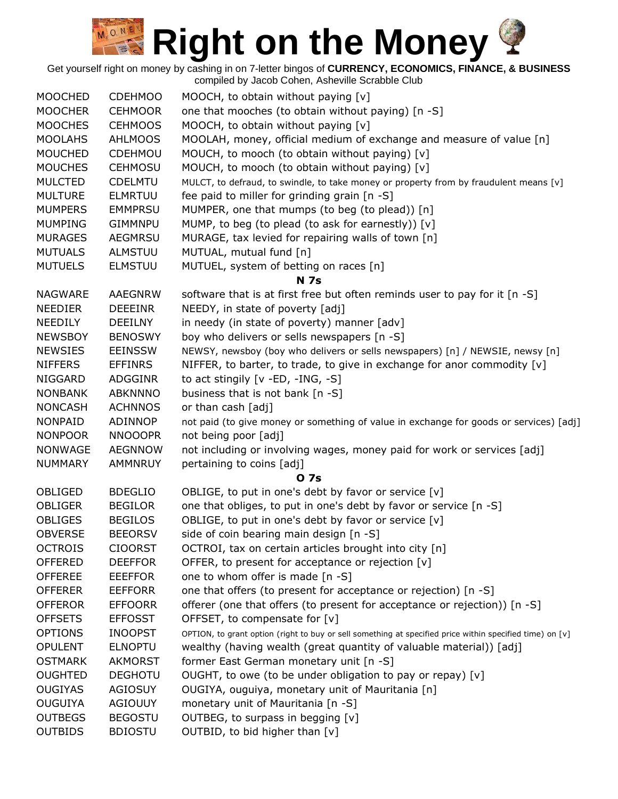Get yourself right on money by cashing in on 7-letter bingos of **CURRENCY, ECONOMICS, FINANCE, & BUSINESS**

| <b>MOOCHED</b> | <b>CDEHMOO</b> | MOOCH, to obtain without paying [v]                                                                      |
|----------------|----------------|----------------------------------------------------------------------------------------------------------|
| <b>MOOCHER</b> | <b>CEHMOOR</b> | one that mooches (to obtain without paying) [n -S]                                                       |
| <b>MOOCHES</b> | <b>CEHMOOS</b> | MOOCH, to obtain without paying [v]                                                                      |
| <b>MOOLAHS</b> | <b>AHLMOOS</b> | MOOLAH, money, official medium of exchange and measure of value [n]                                      |
| <b>MOUCHED</b> | CDEHMOU        | MOUCH, to mooch (to obtain without paying) [v]                                                           |
| <b>MOUCHES</b> | <b>CEHMOSU</b> | MOUCH, to mooch (to obtain without paying) [v]                                                           |
| <b>MULCTED</b> | <b>CDELMTU</b> | MULCT, to defraud, to swindle, to take money or property from by fraudulent means [v]                    |
| <b>MULTURE</b> | <b>ELMRTUU</b> | fee paid to miller for grinding grain [n -S]                                                             |
| <b>MUMPERS</b> | <b>EMMPRSU</b> | MUMPER, one that mumps (to beg (to plead)) [n]                                                           |
| <b>MUMPING</b> | <b>GIMMNPU</b> | MUMP, to beg (to plead (to ask for earnestly)) [v]                                                       |
| <b>MURAGES</b> | <b>AEGMRSU</b> | MURAGE, tax levied for repairing walls of town [n]                                                       |
| <b>MUTUALS</b> | <b>ALMSTUU</b> | MUTUAL, mutual fund [n]                                                                                  |
| <b>MUTUELS</b> | <b>ELMSTUU</b> | MUTUEL, system of betting on races [n]                                                                   |
|                |                | <b>N</b> 7s                                                                                              |
| <b>NAGWARE</b> | <b>AAEGNRW</b> | software that is at first free but often reminds user to pay for it [n -S]                               |
| <b>NEEDIER</b> | <b>DEEEINR</b> | NEEDY, in state of poverty [adj]                                                                         |
| <b>NEEDILY</b> | <b>DEEILNY</b> | in needy (in state of poverty) manner [adv]                                                              |
| <b>NEWSBOY</b> | <b>BENOSWY</b> | boy who delivers or sells newspapers [n -S]                                                              |
| <b>NEWSIES</b> | <b>EEINSSW</b> | NEWSY, newsboy (boy who delivers or sells newspapers) [n] / NEWSIE, newsy [n]                            |
| <b>NIFFERS</b> | <b>EFFINRS</b> | NIFFER, to barter, to trade, to give in exchange for anor commodity [v]                                  |
| <b>NIGGARD</b> | ADGGINR        | to act stingily $[v - ED, -ING, -S]$                                                                     |
| <b>NONBANK</b> | <b>ABKNNNO</b> | business that is not bank [n -S]                                                                         |
| <b>NONCASH</b> | <b>ACHNNOS</b> | or than cash [adj]                                                                                       |
| <b>NONPAID</b> | ADINNOP        | not paid (to give money or something of value in exchange for goods or services) [adj]                   |
| <b>NONPOOR</b> | <b>NNOOOPR</b> | not being poor [adj]                                                                                     |
| <b>NONWAGE</b> | <b>AEGNNOW</b> | not including or involving wages, money paid for work or services [adj]                                  |
| <b>NUMMARY</b> | <b>AMMNRUY</b> | pertaining to coins [adj]                                                                                |
|                |                | 0 7s                                                                                                     |
| OBLIGED        | <b>BDEGLIO</b> | OBLIGE, to put in one's debt by favor or service [v]                                                     |
| <b>OBLIGER</b> | <b>BEGILOR</b> | one that obliges, to put in one's debt by favor or service [n -S]                                        |
| <b>OBLIGES</b> | <b>BEGILOS</b> | OBLIGE, to put in one's debt by favor or service [v]                                                     |
| <b>OBVERSE</b> | <b>BEEORSV</b> | side of coin bearing main design [n -S]                                                                  |
| <b>OCTROIS</b> | <b>CIOORST</b> | OCTROI, tax on certain articles brought into city [n]                                                    |
| <b>OFFERED</b> | <b>DEEFFOR</b> | OFFER, to present for acceptance or rejection [v]                                                        |
| <b>OFFEREE</b> | <b>EEEFFOR</b> | one to whom offer is made [n -S]                                                                         |
| <b>OFFERER</b> | <b>EEFFORR</b> | one that offers (to present for acceptance or rejection) [n -S]                                          |
| <b>OFFEROR</b> | <b>EFFOORR</b> | offerer (one that offers (to present for acceptance or rejection)) [n -S]                                |
| <b>OFFSETS</b> | <b>EFFOSST</b> | OFFSET, to compensate for [v]                                                                            |
| <b>OPTIONS</b> | <b>INOOPST</b> | OPTION, to grant option (right to buy or sell something at specified price within specified time) on [v] |
| <b>OPULENT</b> | <b>ELNOPTU</b> | wealthy (having wealth (great quantity of valuable material)) [adj]                                      |
| <b>OSTMARK</b> | <b>AKMORST</b> | former East German monetary unit [n -S]                                                                  |
| <b>OUGHTED</b> | <b>DEGHOTU</b> | OUGHT, to owe (to be under obligation to pay or repay) [v]                                               |
| <b>OUGIYAS</b> | <b>AGIOSUY</b> | OUGIYA, ouguiya, monetary unit of Mauritania [n]                                                         |
| <b>OUGUIYA</b> | <b>AGIOUUY</b> | monetary unit of Mauritania [n -S]                                                                       |
| <b>OUTBEGS</b> | <b>BEGOSTU</b> | OUTBEG, to surpass in begging [v]                                                                        |
| <b>OUTBIDS</b> | <b>BDIOSTU</b> | OUTBID, to bid higher than [v]                                                                           |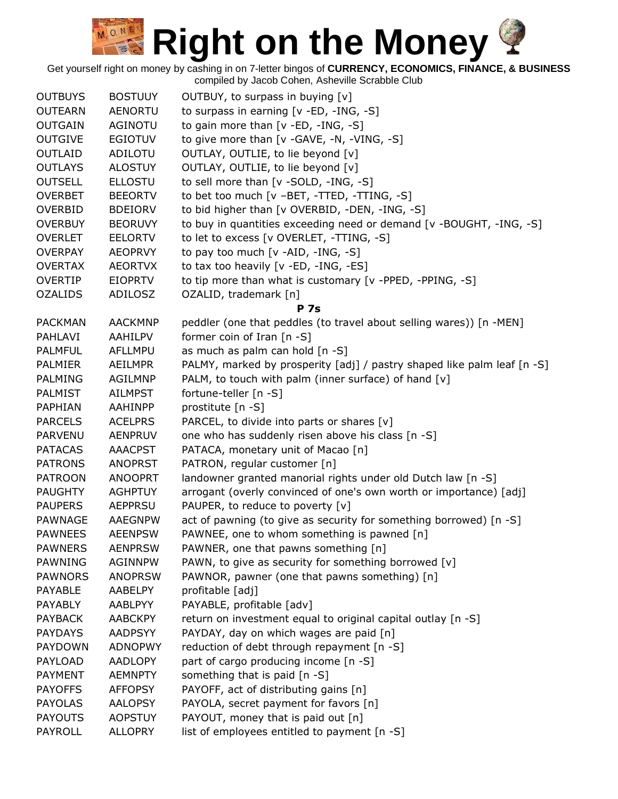Get yourself right on money by cashing in on 7-letter bingos of **CURRENCY, ECONOMICS, FINANCE, & BUSINESS** compiled by Jacob Cohen, Asheville Scrabble Club

OUTBUYS BOSTUUY OUTBUY, to surpass in buying [v] OUTEARN AENORTU to surpass in earning [v -ED, -ING, -S] OUTGAIN AGINOTU to gain more than [v -ED, -ING, -S] OUTGIVE EGIOTUV to give more than [v -GAVE, -N, -VING, -S] OUTLAID ADILOTU OUTLAY, OUTLIE, to lie beyond [v] OUTLAYS ALOSTUY OUTLAY, OUTLIE, to lie beyond [v] OUTSELL ELLOSTU to sell more than [v -SOLD, -ING, -S] OVERBET BEEORTV to bet too much [v -BET, -TTED, -TTING, -S] OVERBID BDEIORV to bid higher than [v OVERBID, -DEN, -ING, -S] OVERBUY BEORUVY to buy in quantities exceeding need or demand [v -BOUGHT, -ING, -S] OVERLET EELORTV to let to excess [v OVERLET, -TTING, -S] OVERPAY AEOPRVY to pay too much [v -AID, -ING, -S] OVERTAX AEORTVX to tax too heavily [v -ED, -ING, -ES] OVERTIP EIOPRTV to tip more than what is customary [v -PPED, -PPING, -S] OZALIDS ADILOSZ OZALID, trademark [n] **P 7s** PACKMAN AACKMNP peddler (one that peddles (to travel about selling wares)) [n -MEN] PAHLAVI AAHILPV former coin of Iran [n -S] PALMFUL AFLLMPU as much as palm can hold [n -S] PALMIER AEILMPR PALMY, marked by prosperity [adj] / pastry shaped like palm leaf [n -S] PALMING AGILMNP PALM, to touch with palm (inner surface) of hand [v] PALMIST AILMPST fortune-teller [n -S] PAPHIAN AAHINPP prostitute [n -S] PARCELS ACELPRS PARCEL, to divide into parts or shares [v] PARVENU AENPRUV one who has suddenly risen above his class [n -S] PATACAS AAACPST PATACA, monetary unit of Macao [n] PATRONS ANOPRST PATRON, regular customer [n] PATROON ANOOPRT landowner granted manorial rights under old Dutch law [n -S] PAUGHTY AGHPTUY arrogant (overly convinced of one's own worth or importance) [adj] PAUPERS AEPPRSU PAUPER, to reduce to poverty [v] PAWNAGE AAEGNPW act of pawning (to give as security for something borrowed) [n -S] PAWNEES AEENPSW PAWNEE, one to whom something is pawned [n] PAWNERS AENPRSW PAWNER, one that pawns something [n] PAWNING AGINNPW PAWN, to give as security for something borrowed [v] PAWNORS ANOPRSW PAWNOR, pawner (one that pawns something) [n] PAYABLE AABELPY profitable [adj] PAYABLY AABLPYY PAYABLE, profitable [adv] PAYBACK AABCKPY return on investment equal to original capital outlay [n -S] PAYDAYS AADPSYY PAYDAY, day on which wages are paid [n] PAYDOWN ADNOPWY reduction of debt through repayment [n -S] PAYLOAD AADLOPY part of cargo producing income [n -S] PAYMENT AEMNPTY something that is paid [n -S] PAYOFFS AFFOPSY PAYOFF, act of distributing gains [n] PAYOLAS AALOPSY PAYOLA, secret payment for favors [n] PAYOUTS AOPSTUY PAYOUT, money that is paid out [n] PAYROLL ALLOPRY list of employees entitled to payment [n -S]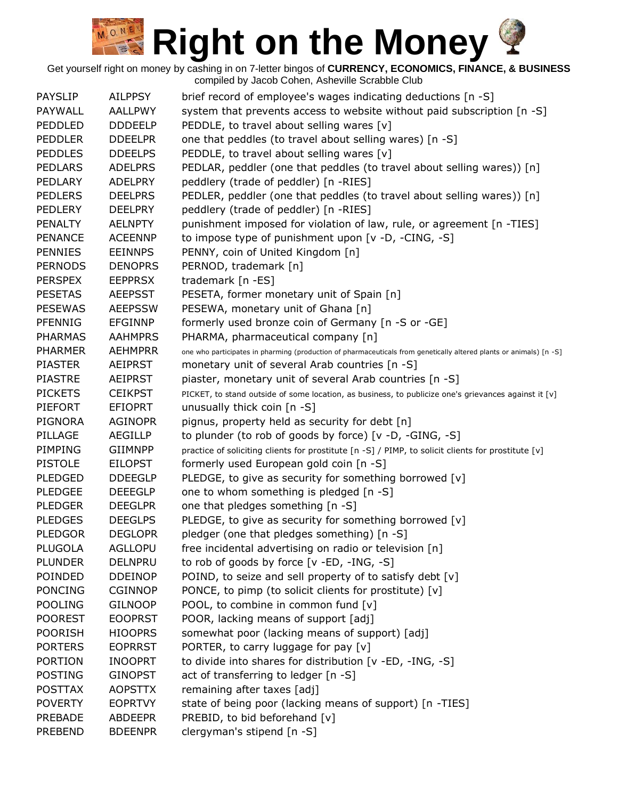| <b>PAYSLIP</b> | <b>AILPPSY</b> | brief record of employee's wages indicating deductions [n -S]                                                      |
|----------------|----------------|--------------------------------------------------------------------------------------------------------------------|
| PAYWALL        | <b>AALLPWY</b> | system that prevents access to website without paid subscription [n -S]                                            |
| PEDDLED        | <b>DDDEELP</b> | PEDDLE, to travel about selling wares [v]                                                                          |
| <b>PEDDLER</b> | <b>DDEELPR</b> | one that peddles (to travel about selling wares) [n -S]                                                            |
| <b>PEDDLES</b> | <b>DDEELPS</b> | PEDDLE, to travel about selling wares [v]                                                                          |
| <b>PEDLARS</b> | <b>ADELPRS</b> | PEDLAR, peddler (one that peddles (to travel about selling wares)) [n]                                             |
| PEDLARY        | <b>ADELPRY</b> | peddlery (trade of peddler) [n -RIES]                                                                              |
| <b>PEDLERS</b> | <b>DEELPRS</b> | PEDLER, peddler (one that peddles (to travel about selling wares)) [n]                                             |
| <b>PEDLERY</b> | <b>DEELPRY</b> | peddlery (trade of peddler) [n -RIES]                                                                              |
| <b>PENALTY</b> | <b>AELNPTY</b> | punishment imposed for violation of law, rule, or agreement [n -TIES]                                              |
| <b>PENANCE</b> | <b>ACEENNP</b> | to impose type of punishment upon [v -D, -CING, -S]                                                                |
| <b>PENNIES</b> | <b>EEINNPS</b> | PENNY, coin of United Kingdom [n]                                                                                  |
| <b>PERNODS</b> | <b>DENOPRS</b> | PERNOD, trademark [n]                                                                                              |
| <b>PERSPEX</b> | <b>EEPPRSX</b> | trademark [n -ES]                                                                                                  |
| <b>PESETAS</b> | <b>AEEPSST</b> | PESETA, former monetary unit of Spain [n]                                                                          |
| <b>PESEWAS</b> | <b>AEEPSSW</b> | PESEWA, monetary unit of Ghana [n]                                                                                 |
| PFENNIG        | <b>EFGINNP</b> | formerly used bronze coin of Germany [n -S or -GE]                                                                 |
| <b>PHARMAS</b> | <b>AAHMPRS</b> |                                                                                                                    |
| <b>PHARMER</b> | <b>AEHMPRR</b> | PHARMA, pharmaceutical company [n]                                                                                 |
|                |                | one who participates in pharming (production of pharmaceuticals from genetically altered plants or animals) [n -S] |
| <b>PIASTER</b> | <b>AEIPRST</b> | monetary unit of several Arab countries [n -S]                                                                     |
| <b>PIASTRE</b> | <b>AEIPRST</b> | piaster, monetary unit of several Arab countries [n -S]                                                            |
| <b>PICKETS</b> | <b>CEIKPST</b> | PICKET, to stand outside of some location, as business, to publicize one's grievances against it [v]               |
| <b>PIEFORT</b> | <b>EFIOPRT</b> | unusually thick coin [n -S]                                                                                        |
| <b>PIGNORA</b> | <b>AGINOPR</b> | pignus, property held as security for debt [n]                                                                     |
| PILLAGE        | <b>AEGILLP</b> | to plunder (to rob of goods by force) [v -D, -GING, -S]                                                            |
| PIMPING        | <b>GIIMNPP</b> | practice of soliciting clients for prostitute [n -S] / PIMP, to solicit clients for prostitute [v]                 |
| <b>PISTOLE</b> | <b>EILOPST</b> | formerly used European gold coin [n -S]                                                                            |
| <b>PLEDGED</b> | <b>DDEEGLP</b> | PLEDGE, to give as security for something borrowed [v]                                                             |
| <b>PLEDGEE</b> | <b>DEEEGLP</b> | one to whom something is pledged [n -S]                                                                            |
| <b>PLEDGER</b> | <b>DEEGLPR</b> | one that pledges something [n -S]                                                                                  |
| <b>PLEDGES</b> | <b>DEEGLPS</b> | PLEDGE, to give as security for something borrowed [v]                                                             |
| <b>PLEDGOR</b> | <b>DEGLOPR</b> | pledger (one that pledges something) [n -S]                                                                        |
| <b>PLUGOLA</b> | <b>AGLLOPU</b> | free incidental advertising on radio or television [n]                                                             |
| <b>PLUNDER</b> | <b>DELNPRU</b> | to rob of goods by force [v -ED, -ING, -S]                                                                         |
| POINDED        | <b>DDEINOP</b> | POIND, to seize and sell property of to satisfy debt [v]                                                           |
| <b>PONCING</b> | <b>CGINNOP</b> | PONCE, to pimp (to solicit clients for prostitute) [v]                                                             |
| <b>POOLING</b> | <b>GILNOOP</b> | POOL, to combine in common fund [v]                                                                                |
| <b>POOREST</b> | <b>EOOPRST</b> | POOR, lacking means of support [adj]                                                                               |
| <b>POORISH</b> | <b>HIOOPRS</b> | somewhat poor (lacking means of support) [adj]                                                                     |
| <b>PORTERS</b> | <b>EOPRRST</b> | PORTER, to carry luggage for pay [v]                                                                               |
| <b>PORTION</b> | <b>INOOPRT</b> | to divide into shares for distribution [v -ED, -ING, -S]                                                           |
| <b>POSTING</b> | <b>GINOPST</b> | act of transferring to ledger [n -S]                                                                               |
| <b>POSTTAX</b> | <b>AOPSTTX</b> | remaining after taxes [adj]                                                                                        |
| <b>POVERTY</b> | <b>EOPRTVY</b> | state of being poor (lacking means of support) [n -TIES]                                                           |
| <b>PREBADE</b> | <b>ABDEEPR</b> | PREBID, to bid beforehand [v]                                                                                      |
| <b>PREBEND</b> | <b>BDEENPR</b> | clergyman's stipend [n -S]                                                                                         |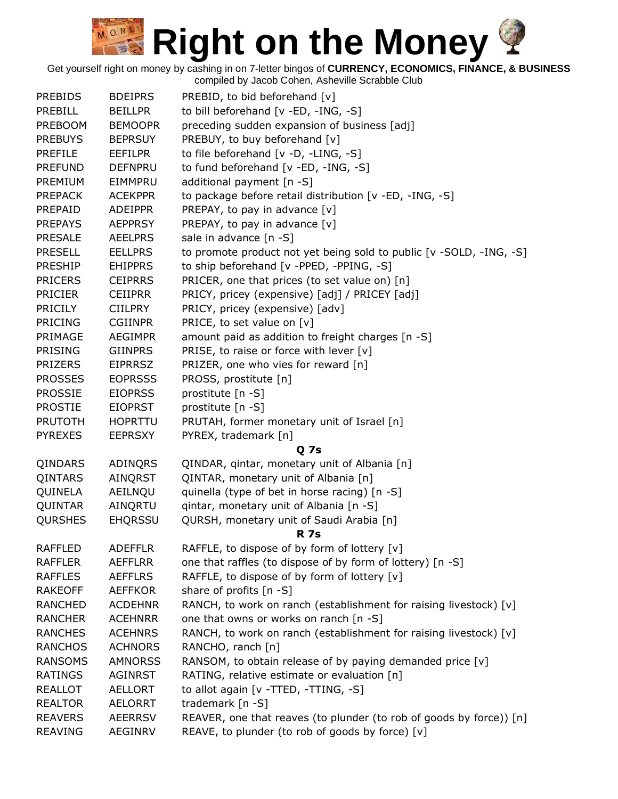Get yourself right on money by cashing in on 7-letter bingos of **CURRENCY, ECONOMICS, FINANCE, & BUSINESS**

| <b>PREBIDS</b> | <b>BDEIPRS</b> | PREBID, to bid beforehand [v]                                       |
|----------------|----------------|---------------------------------------------------------------------|
| <b>PREBILL</b> | <b>BEILLPR</b> | to bill beforehand [v -ED, -ING, -S]                                |
| <b>PREBOOM</b> | <b>BEMOOPR</b> | preceding sudden expansion of business [adj]                        |
| <b>PREBUYS</b> | <b>BEPRSUY</b> | PREBUY, to buy beforehand [v]                                       |
| <b>PREFILE</b> | <b>EEFILPR</b> | to file beforehand [v -D, -LING, -S]                                |
| <b>PREFUND</b> | <b>DEFNPRU</b> | to fund beforehand [v -ED, -ING, -S]                                |
| PREMIUM        | EIMMPRU        | additional payment [n -S]                                           |
| <b>PREPACK</b> | <b>ACEKPPR</b> | to package before retail distribution [v -ED, -ING, -S]             |
| PREPAID        | <b>ADEIPPR</b> | PREPAY, to pay in advance [v]                                       |
| <b>PREPAYS</b> | <b>AEPPRSY</b> | PREPAY, to pay in advance [v]                                       |
| <b>PRESALE</b> | <b>AEELPRS</b> | sale in advance [n -S]                                              |
| <b>PRESELL</b> | <b>EELLPRS</b> | to promote product not yet being sold to public [v -SOLD, -ING, -S] |
| <b>PRESHIP</b> | <b>EHIPPRS</b> | to ship beforehand [v -PPED, -PPING, -S]                            |
| <b>PRICERS</b> | <b>CEIPRRS</b> | PRICER, one that prices (to set value on) [n]                       |
| <b>PRICIER</b> | <b>CEIIPRR</b> | PRICY, pricey (expensive) [adj] / PRICEY [adj]                      |
| <b>PRICILY</b> | <b>CIILPRY</b> | PRICY, pricey (expensive) [adv]                                     |
| <b>PRICING</b> | <b>CGIINPR</b> | PRICE, to set value on [v]                                          |
| PRIMAGE        | <b>AEGIMPR</b> | amount paid as addition to freight charges [n -S]                   |
| <b>PRISING</b> | <b>GIINPRS</b> | PRISE, to raise or force with lever $[v]$                           |
| <b>PRIZERS</b> | <b>EIPRRSZ</b> | PRIZER, one who vies for reward [n]                                 |
| <b>PROSSES</b> | <b>EOPRSSS</b> | PROSS, prostitute [n]                                               |
| <b>PROSSIE</b> | <b>EIOPRSS</b> | prostitute [n -S]                                                   |
| <b>PROSTIE</b> | <b>EIOPRST</b> | prostitute [n -S]                                                   |
| <b>PRUTOTH</b> | <b>HOPRTTU</b> | PRUTAH, former monetary unit of Israel [n]                          |
| <b>PYREXES</b> | <b>EEPRSXY</b> | PYREX, trademark [n]                                                |
|                |                | <b>Q</b> 7s                                                         |
| QINDARS        | ADINQRS        | QINDAR, qintar, monetary unit of Albania [n]                        |
| QINTARS        | AINQRST        | QINTAR, monetary unit of Albania [n]                                |
| QUINELA        | AEILNQU        | quinella (type of bet in horse racing) [n -S]                       |
| QUINTAR        | AINQRTU        | qintar, monetary unit of Albania [n -S]                             |
| <b>QURSHES</b> | <b>EHQRSSU</b> | QURSH, monetary unit of Saudi Arabia [n]                            |
|                |                | <b>R</b> 7s                                                         |
| <b>RAFFLED</b> | <b>ADEFFLR</b> | RAFFLE, to dispose of by form of lottery [v]                        |
| <b>RAFFLER</b> | <b>AEFFLRR</b> | one that raffles (to dispose of by form of lottery) [n -S]          |
| <b>RAFFLES</b> | <b>AEFFLRS</b> | RAFFLE, to dispose of by form of lottery [v]                        |
| <b>RAKEOFF</b> | <b>AEFFKOR</b> | share of profits [n -S]                                             |
| <b>RANCHED</b> | <b>ACDEHNR</b> | RANCH, to work on ranch (establishment for raising livestock) [v]   |
| <b>RANCHER</b> | <b>ACEHNRR</b> | one that owns or works on ranch [n -S]                              |
| <b>RANCHES</b> | <b>ACEHNRS</b> | RANCH, to work on ranch (establishment for raising livestock) [v]   |
| <b>RANCHOS</b> | <b>ACHNORS</b> | RANCHO, ranch [n]                                                   |
| <b>RANSOMS</b> | <b>AMNORSS</b> | RANSOM, to obtain release of by paying demanded price [v]           |
| <b>RATINGS</b> | AGINRST        | RATING, relative estimate or evaluation [n]                         |
| <b>REALLOT</b> | <b>AELLORT</b> | to allot again [v -TTED, -TTING, -S]                                |
| <b>REALTOR</b> | AELORRT        | trademark [n -S]                                                    |
| <b>REAVERS</b> | <b>AEERRSV</b> | REAVER, one that reaves (to plunder (to rob of goods by force)) [n] |
| <b>REAVING</b> | AEGINRV        | REAVE, to plunder (to rob of goods by force) [v]                    |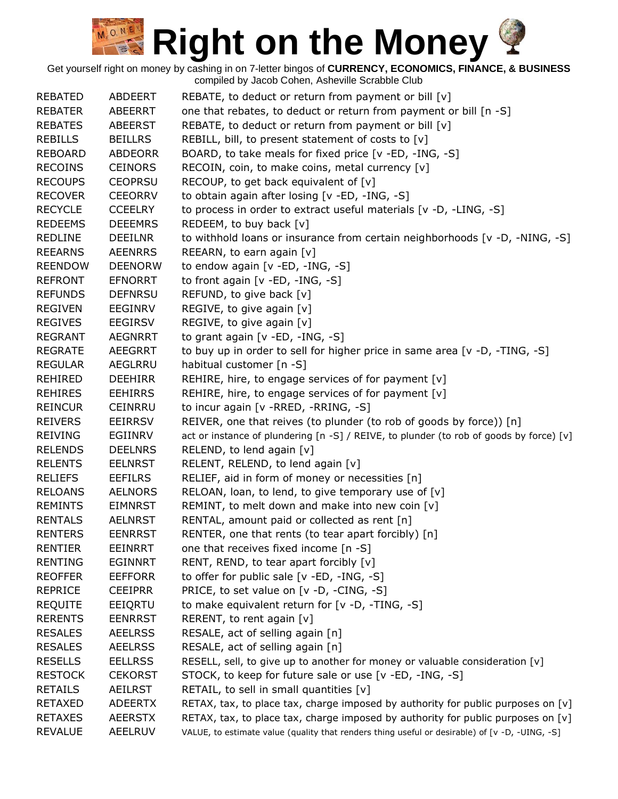| <b>REBATED</b> | <b>ABDEERT</b> |                                                                                                |
|----------------|----------------|------------------------------------------------------------------------------------------------|
| <b>REBATER</b> |                | REBATE, to deduct or return from payment or bill $[v]$                                         |
|                | ABEERRT        | one that rebates, to deduct or return from payment or bill [n -S]                              |
| <b>REBATES</b> | <b>ABEERST</b> | REBATE, to deduct or return from payment or bill [v]                                           |
| <b>REBILLS</b> | <b>BEILLRS</b> | REBILL, bill, to present statement of costs to [v]                                             |
| <b>REBOARD</b> | <b>ABDEORR</b> | BOARD, to take meals for fixed price [v -ED, -ING, -S]                                         |
| <b>RECOINS</b> | <b>CEINORS</b> | RECOIN, coin, to make coins, metal currency [v]                                                |
| <b>RECOUPS</b> | <b>CEOPRSU</b> | RECOUP, to get back equivalent of [v]                                                          |
| <b>RECOVER</b> | <b>CEEORRV</b> | to obtain again after losing [v -ED, -ING, -S]                                                 |
| <b>RECYCLE</b> | <b>CCEELRY</b> | to process in order to extract useful materials [v -D, -LING, -S]                              |
| <b>REDEEMS</b> | <b>DEEEMRS</b> | REDEEM, to buy back [v]                                                                        |
| <b>REDLINE</b> | <b>DEEILNR</b> | to withhold loans or insurance from certain neighborhoods $[v - D, -NING, -S]$                 |
| <b>REEARNS</b> | <b>AEENRRS</b> | REEARN, to earn again [v]                                                                      |
| <b>REENDOW</b> | <b>DEENORW</b> | to endow again [v -ED, -ING, -S]                                                               |
| <b>REFRONT</b> | <b>EFNORRT</b> | to front again [v -ED, -ING, -S]                                                               |
| <b>REFUNDS</b> | <b>DEFNRSU</b> | REFUND, to give back [v]                                                                       |
| <b>REGIVEN</b> | <b>EEGINRV</b> | REGIVE, to give again [v]                                                                      |
| <b>REGIVES</b> | <b>EEGIRSV</b> | REGIVE, to give again [v]                                                                      |
| <b>REGRANT</b> | <b>AEGNRRT</b> | to grant again [v -ED, -ING, -S]                                                               |
| <b>REGRATE</b> | <b>AEEGRRT</b> | to buy up in order to sell for higher price in same area [v -D, -TING, -S]                     |
| <b>REGULAR</b> | AEGLRRU        | habitual customer [n -S]                                                                       |
| <b>REHIRED</b> | <b>DEEHIRR</b> | REHIRE, hire, to engage services of for payment [v]                                            |
| <b>REHIRES</b> | <b>EEHIRRS</b> | REHIRE, hire, to engage services of for payment [v]                                            |
| <b>REINCUR</b> | <b>CEINRRU</b> | to incur again [v - RRED, - RRING, - S]                                                        |
| <b>REIVERS</b> | <b>EEIRRSV</b> | REIVER, one that reives (to plunder (to rob of goods by force)) [n]                            |
| <b>REIVING</b> | EGIINRV        | act or instance of plundering [n -S] / REIVE, to plunder (to rob of goods by force) [v]        |
| <b>RELENDS</b> | <b>DEELNRS</b> | RELEND, to lend again [v]                                                                      |
| <b>RELENTS</b> | <b>EELNRST</b> | RELENT, RELEND, to lend again [v]                                                              |
| <b>RELIEFS</b> | <b>EEFILRS</b> | RELIEF, aid in form of money or necessities [n]                                                |
| <b>RELOANS</b> | <b>AELNORS</b> | RELOAN, loan, to lend, to give temporary use of [v]                                            |
| <b>REMINTS</b> | <b>EIMNRST</b> | REMINT, to melt down and make into new coin [v]                                                |
| <b>RENTALS</b> | <b>AELNRST</b> | RENTAL, amount paid or collected as rent [n]                                                   |
| <b>RENTERS</b> | <b>EENRRST</b> | RENTER, one that rents (to tear apart forcibly) [n]                                            |
| <b>RENTIER</b> | <b>EEINRRT</b> | one that receives fixed income [n -S]                                                          |
| <b>RENTING</b> | <b>EGINNRT</b> | RENT, REND, to tear apart forcibly [v]                                                         |
| <b>REOFFER</b> | <b>EEFFORR</b> | to offer for public sale [v -ED, -ING, -S]                                                     |
| <b>REPRICE</b> | <b>CEEIPRR</b> | PRICE, to set value on [v -D, -CING, -S]                                                       |
| <b>REQUITE</b> | EEIQRTU        | to make equivalent return for [v -D, -TING, -S]                                                |
| <b>RERENTS</b> | <b>EENRRST</b> | RERENT, to rent again [v]                                                                      |
| <b>RESALES</b> | <b>AEELRSS</b> | RESALE, act of selling again [n]                                                               |
| <b>RESALES</b> | <b>AEELRSS</b> | RESALE, act of selling again [n]                                                               |
| <b>RESELLS</b> |                |                                                                                                |
|                | <b>EELLRSS</b> | RESELL, sell, to give up to another for money or valuable consideration [v]                    |
| <b>RESTOCK</b> | <b>CEKORST</b> | STOCK, to keep for future sale or use [v -ED, -ING, -S]                                        |
| <b>RETAILS</b> | <b>AEILRST</b> | RETAIL, to sell in small quantities [v]                                                        |
| <b>RETAXED</b> | <b>ADEERTX</b> | RETAX, tax, to place tax, charge imposed by authority for public purposes on [v]               |
| <b>RETAXES</b> | <b>AEERSTX</b> | RETAX, tax, to place tax, charge imposed by authority for public purposes on [v]               |
| <b>REVALUE</b> | AEELRUV        | VALUE, to estimate value (quality that renders thing useful or desirable) of [v -D, -UING, -S] |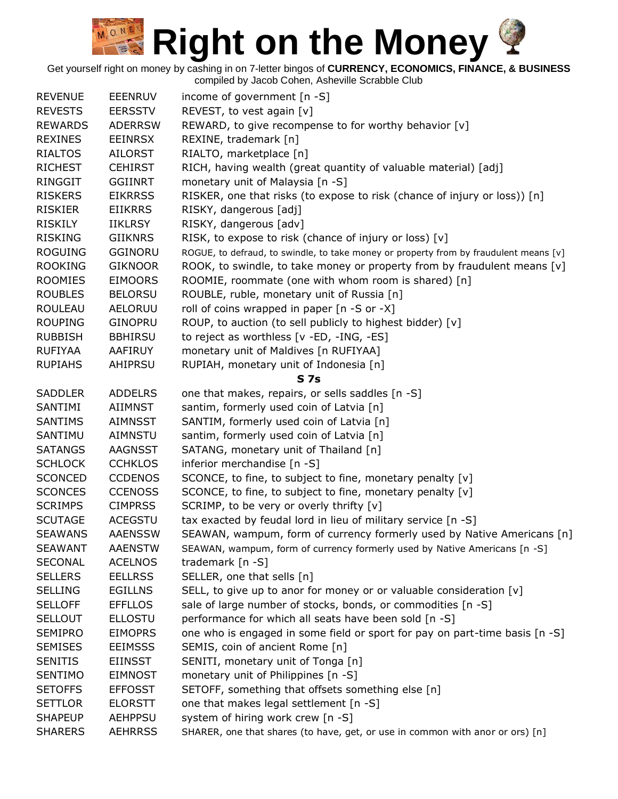Get yourself right on money by cashing in on 7-letter bingos of **CURRENCY, ECONOMICS, FINANCE, & BUSINESS** compiled by Jacob Cohen, Asheville Scrabble Club

REVENUE EEENRUV income of government [n -S] REVESTS EERSSTV REVEST, to vest again [v] REWARDS ADERRSW REWARD, to give recompense to for worthy behavior [v] REXINES EEINRSX REXINE, trademark [n] RIALTOS AILORST RIALTO, marketplace [n] RICHEST CEHIRST RICH, having wealth (great quantity of valuable material) [adj] RINGGIT GGIINRT monetary unit of Malaysia [n -S] RISKERS EIKRRSS RISKER, one that risks (to expose to risk (chance of injury or loss)) [n] RISKIER EIIKRRS RISKY, dangerous [adj] RISKILY IIKLRSY RISKY, dangerous [adv] RISKING GIIKNRS RISK, to expose to risk (chance of injury or loss)  $[v]$ ROGUING GGINORU ROGUE, to defraud, to swindle, to take money or property from by fraudulent means [v] ROOKING GIKNOOR ROOK, to swindle, to take money or property from by fraudulent means [v] ROOMIES EIMOORS ROOMIE, roommate (one with whom room is shared) [n] ROUBLES BELORSU ROUBLE, ruble, monetary unit of Russia [n] ROULEAU AELORUU roll of coins wrapped in paper [n -S or -X] ROUPING GINOPRU ROUP, to auction (to sell publicly to highest bidder) [v] RUBBISH BBHIRSU to reject as worthless [v -ED, -ING, -ES] RUFIYAA AAFIRUY monetary unit of Maldives [n RUFIYAA] RUPIAHS AHIPRSU RUPIAH, monetary unit of Indonesia [n] **S 7s** SADDLER ADDELRS one that makes, repairs, or sells saddles [n -S] SANTIMI AIIMNST santim, formerly used coin of Latvia [n] SANTIMS AIMNSST SANTIM, formerly used coin of Latvia [n] SANTIMU AIMNSTU santim, formerly used coin of Latvia [n] SATANGS AAGNSST SATANG, monetary unit of Thailand [n] SCHLOCK CCHKLOS inferior merchandise [n -S] SCONCED CCDENOS SCONCE, to fine, to subject to fine, monetary penalty [v] SCONCES CCENOSS SCONCE, to fine, to subject to fine, monetary penalty [v] SCRIMPS CIMPRSS SCRIMP, to be very or overly thrifty [v] SCUTAGE ACEGSTU tax exacted by feudal lord in lieu of military service [n -S] SEAWANS AAENSSW SEAWAN, wampum, form of currency formerly used by Native Americans [n] SEAWANT AAENSTW SEAWAN, wampum, form of currency formerly used by Native Americans [n -S] SECONAL ACELNOS trademark [n -S] SELLERS EELLRSS SELLER, one that sells [n] SELLING EGILLNS SELL, to give up to anor for money or or valuable consideration  $[v]$ SELLOFF EFFLLOS sale of large number of stocks, bonds, or commodities [n -S] SELLOUT ELLOSTU performance for which all seats have been sold [n -S] SEMIPRO EIMOPRS one who is engaged in some field or sport for pay on part-time basis [n -S] SEMISES EEIMSSS SEMIS, coin of ancient Rome [n] SENITIS EIINSST SENITI, monetary unit of Tonga [n] SENTIMO EIMNOST monetary unit of Philippines [n -S] SETOFFS EFFOSST SETOFF, something that offsets something else [n] SETTLOR ELORSTT one that makes legal settlement [n -S] SHAPEUP AEHPPSU system of hiring work crew [n -S] SHARERS AEHRRSS SHARER, one that shares (to have, get, or use in common with anor or ors) [n]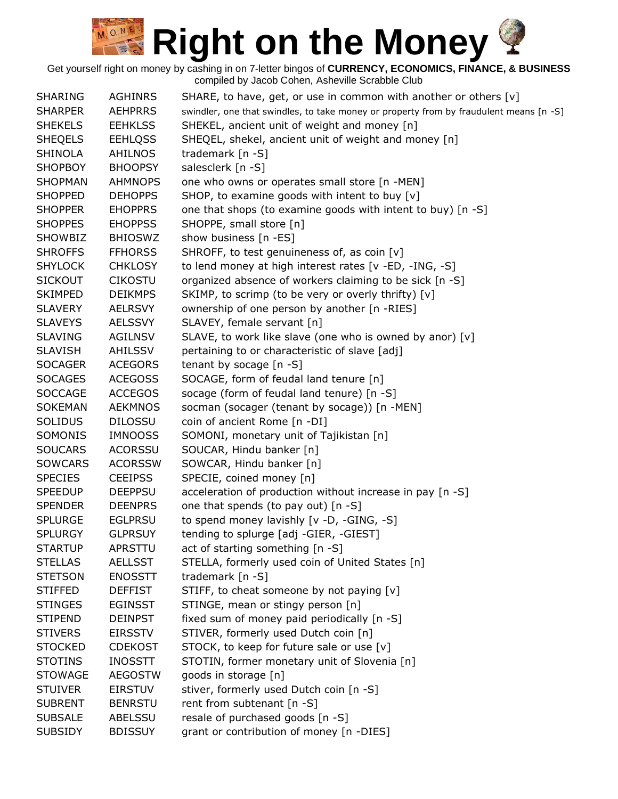| <b>SHARING</b>                   | <b>AGHINRS</b> | SHARE, to have, get, or use in common with another or others [v]                       |
|----------------------------------|----------------|----------------------------------------------------------------------------------------|
| <b>SHARPER</b>                   | <b>AEHPRRS</b> | swindler, one that swindles, to take money or property from by fraudulent means [n -S] |
| <b>SHEKELS</b>                   | <b>EEHKLSS</b> | SHEKEL, ancient unit of weight and money [n]                                           |
| <b>SHEQELS</b>                   | <b>EEHLQSS</b> | SHEQEL, shekel, ancient unit of weight and money [n]                                   |
| <b>SHINOLA</b>                   | AHILNOS        | trademark [n -S]                                                                       |
| <b>SHOPBOY</b>                   | <b>BHOOPSY</b> | salesclerk [n -S]                                                                      |
| <b>SHOPMAN</b>                   | <b>AHMNOPS</b> | one who owns or operates small store [n -MEN]                                          |
| <b>SHOPPED</b>                   | <b>DEHOPPS</b> | SHOP, to examine goods with intent to buy [v]                                          |
| <b>SHOPPER</b>                   | <b>EHOPPRS</b> | one that shops (to examine goods with intent to buy) [n -S]                            |
| <b>SHOPPES</b>                   | <b>EHOPPSS</b> | SHOPPE, small store [n]                                                                |
| SHOWBIZ                          | <b>BHIOSWZ</b> | show business [n -ES]                                                                  |
| <b>SHROFFS</b>                   | <b>FFHORSS</b> | SHROFF, to test genuineness of, as coin [v]                                            |
| <b>SHYLOCK</b>                   | <b>CHKLOSY</b> | to lend money at high interest rates [v -ED, -ING, -S]                                 |
| <b>SICKOUT</b>                   | <b>CIKOSTU</b> | organized absence of workers claiming to be sick [n -S]                                |
| <b>SKIMPED</b>                   | <b>DEIKMPS</b> | SKIMP, to scrimp (to be very or overly thrifty) [v]                                    |
| <b>SLAVERY</b>                   | <b>AELRSVY</b> | ownership of one person by another [n -RIES]                                           |
| <b>SLAVEYS</b>                   | <b>AELSSVY</b> | SLAVEY, female servant [n]                                                             |
| <b>SLAVING</b>                   | <b>AGILNSV</b> | SLAVE, to work like slave (one who is owned by anor) [v]                               |
|                                  | <b>AHILSSV</b> |                                                                                        |
| <b>SLAVISH</b><br><b>SOCAGER</b> |                | pertaining to or characteristic of slave [adj]                                         |
|                                  | <b>ACEGORS</b> | tenant by socage [n -S]                                                                |
| <b>SOCAGES</b>                   | <b>ACEGOSS</b> | SOCAGE, form of feudal land tenure [n]                                                 |
| <b>SOCCAGE</b>                   | <b>ACCEGOS</b> | socage (form of feudal land tenure) [n -S]                                             |
| <b>SOKEMAN</b>                   | <b>AEKMNOS</b> | socman (socager (tenant by socage)) [n -MEN]                                           |
| <b>SOLIDUS</b>                   | <b>DILOSSU</b> | coin of ancient Rome [n -DI]                                                           |
| SOMONIS                          | <b>IMNOOSS</b> | SOMONI, monetary unit of Tajikistan [n]                                                |
| <b>SOUCARS</b>                   | <b>ACORSSU</b> | SOUCAR, Hindu banker [n]                                                               |
| <b>SOWCARS</b>                   | <b>ACORSSW</b> | SOWCAR, Hindu banker [n]                                                               |
| <b>SPECIES</b>                   | <b>CEEIPSS</b> | SPECIE, coined money [n]                                                               |
| <b>SPEEDUP</b>                   | <b>DEEPPSU</b> | acceleration of production without increase in pay [n -S]                              |
| <b>SPENDER</b>                   | <b>DEENPRS</b> | one that spends (to pay out) [n -S]                                                    |
| <b>SPLURGE</b>                   | <b>EGLPRSU</b> | to spend money lavishly [v -D, -GING, -S]                                              |
| <b>SPLURGY</b>                   | <b>GLPRSUY</b> | tending to splurge [adj -GIER, -GIEST]                                                 |
| <b>STARTUP</b>                   | APRSTTU        | act of starting something [n -S]                                                       |
| <b>STELLAS</b>                   | <b>AELLSST</b> | STELLA, formerly used coin of United States [n]                                        |
| <b>STETSON</b>                   | <b>ENOSSTT</b> | trademark $[n -S]$                                                                     |
| <b>STIFFED</b>                   | <b>DEFFIST</b> | STIFF, to cheat someone by not paying [v]                                              |
| <b>STINGES</b>                   | <b>EGINSST</b> | STINGE, mean or stingy person [n]                                                      |
| <b>STIPEND</b>                   | <b>DEINPST</b> | fixed sum of money paid periodically [n -S]                                            |
| <b>STIVERS</b>                   | <b>EIRSSTV</b> | STIVER, formerly used Dutch coin [n]                                                   |
| <b>STOCKED</b>                   | <b>CDEKOST</b> | STOCK, to keep for future sale or use [v]                                              |
| <b>STOTINS</b>                   | <b>INOSSTT</b> | STOTIN, former monetary unit of Slovenia [n]                                           |
| <b>STOWAGE</b>                   | <b>AEGOSTW</b> | goods in storage [n]                                                                   |
| <b>STUIVER</b>                   | <b>EIRSTUV</b> | stiver, formerly used Dutch coin [n -S]                                                |
| <b>SUBRENT</b>                   | <b>BENRSTU</b> | rent from subtenant [n -S]                                                             |
| <b>SUBSALE</b>                   | ABELSSU        | resale of purchased goods [n -S]                                                       |
| <b>SUBSIDY</b>                   | <b>BDISSUY</b> | grant or contribution of money [n -DIES]                                               |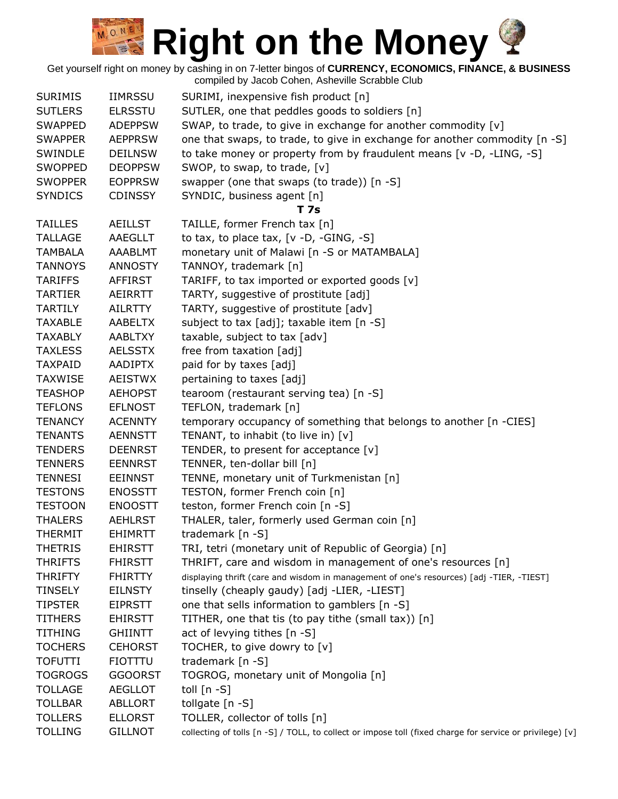Get yourself right on money by cashing in on 7-letter bingos of **CURRENCY, ECONOMICS, FINANCE, & BUSINESS**

|                |                | compiled by Jacob Cohen, Asheville Scrabble Club                                                         |
|----------------|----------------|----------------------------------------------------------------------------------------------------------|
| <b>SURIMIS</b> | <b>IIMRSSU</b> | SURIMI, inexpensive fish product [n]                                                                     |
| <b>SUTLERS</b> | <b>ELRSSTU</b> | SUTLER, one that peddles goods to soldiers [n]                                                           |
| <b>SWAPPED</b> | <b>ADEPPSW</b> | SWAP, to trade, to give in exchange for another commodity [v]                                            |
| <b>SWAPPER</b> | <b>AEPPRSW</b> | one that swaps, to trade, to give in exchange for another commodity [n -S]                               |
| SWINDLE        | <b>DEILNSW</b> | to take money or property from by fraudulent means [v -D, -LING, -S]                                     |
| <b>SWOPPED</b> | <b>DEOPPSW</b> | SWOP, to swap, to trade, [v]                                                                             |
| <b>SWOPPER</b> | <b>EOPPRSW</b> | swapper (one that swaps (to trade)) [n -S]                                                               |
| <b>SYNDICS</b> | <b>CDINSSY</b> | SYNDIC, business agent [n]                                                                               |
|                |                | T 7s                                                                                                     |
| <b>TAILLES</b> | <b>AEILLST</b> | TAILLE, former French tax [n]                                                                            |
| <b>TALLAGE</b> | AAEGLLT        | to tax, to place tax, $[v -D, -GING, -S]$                                                                |
| <b>TAMBALA</b> | AAABLMT        | monetary unit of Malawi [n -S or MATAMBALA]                                                              |
| <b>TANNOYS</b> | <b>ANNOSTY</b> | TANNOY, trademark [n]                                                                                    |
| <b>TARIFFS</b> | <b>AFFIRST</b> | TARIFF, to tax imported or exported goods [v]                                                            |
| <b>TARTIER</b> | AEIRRTT        | TARTY, suggestive of prostitute [adj]                                                                    |
| <b>TARTILY</b> | <b>AILRTTY</b> | TARTY, suggestive of prostitute [adv]                                                                    |
| TAXABLE        | <b>AABELTX</b> | subject to tax [adj]; taxable item [n -S]                                                                |
| <b>TAXABLY</b> | <b>AABLTXY</b> | taxable, subject to tax [adv]                                                                            |
| <b>TAXLESS</b> | <b>AELSSTX</b> | free from taxation [adj]                                                                                 |
| <b>TAXPAID</b> | <b>AADIPTX</b> | paid for by taxes [adj]                                                                                  |
| <b>TAXWISE</b> | <b>AEISTWX</b> | pertaining to taxes [adj]                                                                                |
| <b>TEASHOP</b> | <b>AEHOPST</b> | tearoom (restaurant serving tea) [n -S]                                                                  |
| <b>TEFLONS</b> | <b>EFLNOST</b> | TEFLON, trademark [n]                                                                                    |
| <b>TENANCY</b> | <b>ACENNTY</b> | temporary occupancy of something that belongs to another [n -CIES]                                       |
| <b>TENANTS</b> | <b>AENNSTT</b> | TENANT, to inhabit (to live in) [v]                                                                      |
| <b>TENDERS</b> | <b>DEENRST</b> | TENDER, to present for acceptance [v]                                                                    |
| <b>TENNERS</b> | <b>EENNRST</b> | TENNER, ten-dollar bill [n]                                                                              |
| <b>TENNESI</b> | <b>EEINNST</b> | TENNE, monetary unit of Turkmenistan [n]                                                                 |
| <b>TESTONS</b> | <b>ENOSSTT</b> | TESTON, former French coin [n]                                                                           |
| <b>TESTOON</b> | <b>ENOOSTT</b> | teston, former French coin [n -S]                                                                        |
| <b>THALERS</b> | <b>AEHLRST</b> | THALER, taler, formerly used German coin [n]                                                             |
| THERMIT        | <b>EHIMRTT</b> | trademark [n -S]                                                                                         |
| <b>THETRIS</b> | <b>EHIRSTT</b> | TRI, tetri (monetary unit of Republic of Georgia) [n]                                                    |
| <b>THRIFTS</b> | <b>FHIRSTT</b> | THRIFT, care and wisdom in management of one's resources [n]                                             |
| <b>THRIFTY</b> | <b>FHIRTTY</b> | displaying thrift (care and wisdom in management of one's resources) [adj -TIER, -TIEST]                 |
| <b>TINSELY</b> | <b>EILNSTY</b> | tinselly (cheaply gaudy) [adj -LIER, -LIEST]                                                             |
| <b>TIPSTER</b> | <b>EIPRSTT</b> | one that sells information to gamblers [n -S]                                                            |
| <b>TITHERS</b> | <b>EHIRSTT</b> | TITHER, one that tis (to pay tithe (small tax)) [n]                                                      |
| <b>TITHING</b> | <b>GHIINTT</b> | act of levying tithes [n -S]                                                                             |
| <b>TOCHERS</b> | <b>CEHORST</b> | TOCHER, to give dowry to [v]                                                                             |
| <b>TOFUTTI</b> | <b>FIOTTTU</b> | trademark [n -S]                                                                                         |
| <b>TOGROGS</b> | <b>GGOORST</b> | TOGROG, monetary unit of Mongolia [n]                                                                    |
| <b>TOLLAGE</b> | <b>AEGLLOT</b> | toll $[n - S]$                                                                                           |
| <b>TOLLBAR</b> | <b>ABLLORT</b> | tollgate [n -S]                                                                                          |
| <b>TOLLERS</b> | <b>ELLORST</b> | TOLLER, collector of tolls [n]                                                                           |
| <b>TOLLING</b> | <b>GILLNOT</b> | collecting of tolls [n -S] / TOLL, to collect or impose toll (fixed charge for service or privilege) [v] |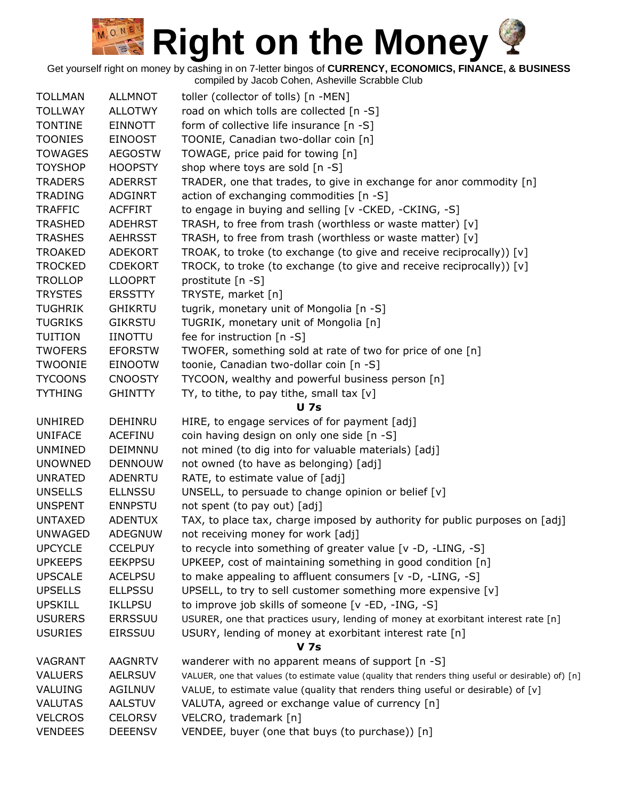Get yourself right on money by cashing in on 7-letter bingos of **CURRENCY, ECONOMICS, FINANCE, & BUSINESS**

| <b>TOLLMAN</b> | <b>ALLMNOT</b> | toller (collector of tolls) [n -MEN]                                                                |
|----------------|----------------|-----------------------------------------------------------------------------------------------------|
| <b>TOLLWAY</b> | <b>ALLOTWY</b> | road on which tolls are collected [n -S]                                                            |
| <b>TONTINE</b> | <b>EINNOTT</b> | form of collective life insurance [n -S]                                                            |
| <b>TOONIES</b> | <b>EINOOST</b> | TOONIE, Canadian two-dollar coin [n]                                                                |
| <b>TOWAGES</b> | <b>AEGOSTW</b> | TOWAGE, price paid for towing [n]                                                                   |
| <b>TOYSHOP</b> | <b>HOOPSTY</b> | shop where toys are sold [n -S]                                                                     |
| <b>TRADERS</b> | <b>ADERRST</b> | TRADER, one that trades, to give in exchange for anor commodity [n]                                 |
| <b>TRADING</b> | <b>ADGINRT</b> | action of exchanging commodities [n -S]                                                             |
| <b>TRAFFIC</b> | <b>ACFFIRT</b> | to engage in buying and selling [v -CKED, -CKING, -S]                                               |
| <b>TRASHED</b> | <b>ADEHRST</b> | TRASH, to free from trash (worthless or waste matter) [v]                                           |
| <b>TRASHES</b> | <b>AEHRSST</b> | TRASH, to free from trash (worthless or waste matter) [v]                                           |
| <b>TROAKED</b> | <b>ADEKORT</b> | TROAK, to troke (to exchange (to give and receive reciprocally)) [v]                                |
| <b>TROCKED</b> | <b>CDEKORT</b> | TROCK, to troke (to exchange (to give and receive reciprocally)) [v]                                |
| <b>TROLLOP</b> | <b>LLOOPRT</b> | prostitute [n -S]                                                                                   |
| <b>TRYSTES</b> | <b>ERSSTTY</b> | TRYSTE, market [n]                                                                                  |
| <b>TUGHRIK</b> | <b>GHIKRTU</b> | tugrik, monetary unit of Mongolia [n -S]                                                            |
| <b>TUGRIKS</b> | <b>GIKRSTU</b> | TUGRIK, monetary unit of Mongolia [n]                                                               |
| <b>TUITION</b> | <b>IINOTTU</b> | fee for instruction [n -S]                                                                          |
| <b>TWOFERS</b> | <b>EFORSTW</b> | TWOFER, something sold at rate of two for price of one [n]                                          |
| <b>TWOONIE</b> | <b>EINOOTW</b> | toonie, Canadian two-dollar coin [n -S]                                                             |
| <b>TYCOONS</b> | <b>CNOOSTY</b> | TYCOON, wealthy and powerful business person [n]                                                    |
| <b>TYTHING</b> | <b>GHINTTY</b> | TY, to tithe, to pay tithe, small tax $[v]$                                                         |
|                |                | <b>U</b> 7s                                                                                         |
| <b>UNHIRED</b> | DEHINRU        | HIRE, to engage services of for payment [adj]                                                       |
| <b>UNIFACE</b> | <b>ACEFINU</b> | coin having design on only one side [n -S]                                                          |
| <b>UNMINED</b> | DEIMNNU        | not mined (to dig into for valuable materials) [adj]                                                |
| <b>UNOWNED</b> | <b>DENNOUW</b> | not owned (to have as belonging) [adj]                                                              |
| <b>UNRATED</b> | ADENRTU        | RATE, to estimate value of [adj]                                                                    |
| <b>UNSELLS</b> | <b>ELLNSSU</b> | UNSELL, to persuade to change opinion or belief [v]                                                 |
| <b>UNSPENT</b> | <b>ENNPSTU</b> | not spent (to pay out) [adj]                                                                        |
| <b>UNTAXED</b> | <b>ADENTUX</b> | TAX, to place tax, charge imposed by authority for public purposes on [adj]                         |
| <b>UNWAGED</b> | <b>ADEGNUW</b> | not receiving money for work [adj]                                                                  |
| <b>UPCYCLE</b> | <b>CCELPUY</b> | to recycle into something of greater value [v -D, -LING, -S]                                        |
| <b>UPKEEPS</b> | <b>EEKPPSU</b> | UPKEEP, cost of maintaining something in good condition [n]                                         |
| <b>UPSCALE</b> | <b>ACELPSU</b> | to make appealing to affluent consumers [v -D, -LING, -S]                                           |
| <b>UPSELLS</b> | <b>ELLPSSU</b> | UPSELL, to try to sell customer something more expensive [v]                                        |
| <b>UPSKILL</b> | <b>IKLLPSU</b> | to improve job skills of someone [v -ED, -ING, -S]                                                  |
| <b>USURERS</b> | <b>ERRSSUU</b> | USURER, one that practices usury, lending of money at exorbitant interest rate [n]                  |
| <b>USURIES</b> | <b>EIRSSUU</b> | USURY, lending of money at exorbitant interest rate [n]                                             |
|                |                | V 7s                                                                                                |
| VAGRANT        | <b>AAGNRTV</b> | wanderer with no apparent means of support [n -S]                                                   |
| <b>VALUERS</b> | <b>AELRSUV</b> | VALUER, one that values (to estimate value (quality that renders thing useful or desirable) of) [n] |
| VALUING        | AGILNUV        | VALUE, to estimate value (quality that renders thing useful or desirable) of [v]                    |
| <b>VALUTAS</b> | <b>AALSTUV</b> | VALUTA, agreed or exchange value of currency [n]                                                    |
| <b>VELCROS</b> | <b>CELORSV</b> | VELCRO, trademark [n]                                                                               |
| <b>VENDEES</b> | <b>DEEENSV</b> | VENDEE, buyer (one that buys (to purchase)) [n]                                                     |
|                |                |                                                                                                     |